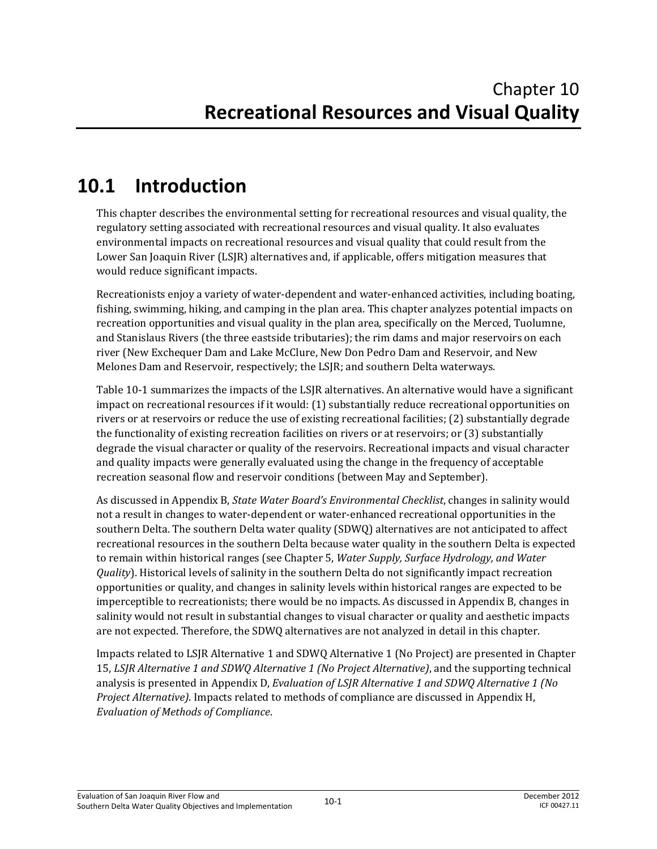# **10.1 Introduction**

This chapter describes the environmental setting for recreational resources and visual quality, the regulatory setting associated with recreational resources and visual quality. It also evaluates environmental impacts on recreational resources and visual quality that could result from the Lower San Joaquin River (LSJR) alternatives and, if applicable, offers mitigation measures that would reduce significant impacts.

Recreationists enjoy a variety of water-dependent and water-enhanced activities, including boating, fishing, swimming, hiking, and camping in the plan area. This chapter analyzes potential impacts on recreation opportunities and visual quality in the plan area, specifically on the Merced, Tuolumne, and Stanislaus Rivers (the three eastside tributaries); the rim dams and major reservoirs on each river (New Exchequer Dam and Lake McClure, New Don Pedro Dam and Reservoir, and New Melones Dam and Reservoir, respectively; the LSJR; and southern Delta waterways.

Table 10-1 summarizes the impacts of the LSJR alternatives. An alternative would have a significant impact on recreational resources if it would: (1) substantially reduce recreational opportunities on rivers or at reservoirs or reduce the use of existing recreational facilities; (2) substantially degrade the functionality of existing recreation facilities on rivers or at reservoirs; or (3) substantially degrade the visual character or quality of the reservoirs. Recreational impacts and visual character and quality impacts were generally evaluated using the change in the frequency of acceptable recreation seasonal flow and reservoir conditions (between May and September).

As discussed in Appendix B, *State Water Board's Environmental Checklist*, changes in salinity would not a result in changes to water-dependent or water-enhanced recreational opportunities in the southern Delta. The southern Delta water quality (SDWQ) alternatives are not anticipated to affect recreational resources in the southern Delta because water quality in the southern Delta is expected to remain within historical ranges (see Chapter 5, *Water Supply, Surface Hydrology, and Water Quality*). Historical levels of salinity in the southern Delta do not significantly impact recreation opportunities or quality, and changes in salinity levels within historical ranges are expected to be imperceptible to recreationists; there would be no impacts. As discussed in Appendix B, changes in salinity would not result in substantial changes to visual character or quality and aesthetic impacts are not expected. Therefore, the SDWQ alternatives are not analyzed in detail in this chapter.

Impacts related to LSJR Alternative 1 and SDWQ Alternative 1 (No Project) are presented in Chapter 15, *LSJR Alternative 1 and SDWQ Alternative 1 (No Project Alternative)*, and the supporting technical analysis is presented in Appendix D, *Evaluation of LSJR Alternative 1 and SDWQ Alternative 1 (No Project Alternative)*. Impacts related to methods of compliance are discussed in Appendix H, *Evaluation of Methods of Compliance*.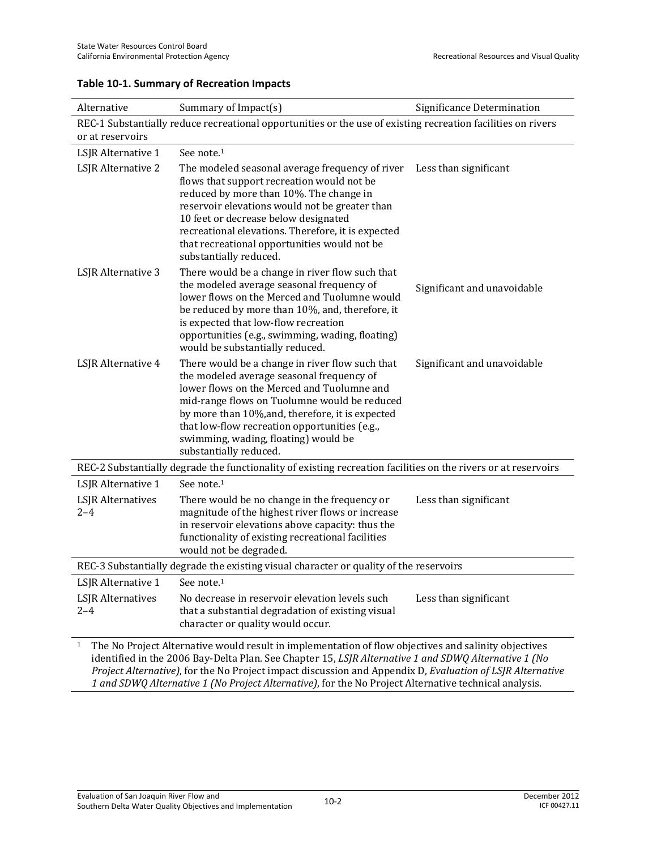| Alternative                                                                                                                                                                                                                                                                                                                               | Summary of Impact(s)                                                                                                                                                                                                                                                                                                                                               | Significance Determination  |  |  |  |  |  |  |
|-------------------------------------------------------------------------------------------------------------------------------------------------------------------------------------------------------------------------------------------------------------------------------------------------------------------------------------------|--------------------------------------------------------------------------------------------------------------------------------------------------------------------------------------------------------------------------------------------------------------------------------------------------------------------------------------------------------------------|-----------------------------|--|--|--|--|--|--|
| or at reservoirs                                                                                                                                                                                                                                                                                                                          | REC-1 Substantially reduce recreational opportunities or the use of existing recreation facilities on rivers                                                                                                                                                                                                                                                       |                             |  |  |  |  |  |  |
| LSJR Alternative 1                                                                                                                                                                                                                                                                                                                        | See note. <sup>1</sup>                                                                                                                                                                                                                                                                                                                                             |                             |  |  |  |  |  |  |
| LSJR Alternative 2                                                                                                                                                                                                                                                                                                                        | The modeled seasonal average frequency of river<br>flows that support recreation would not be<br>reduced by more than 10%. The change in<br>reservoir elevations would not be greater than<br>10 feet or decrease below designated<br>recreational elevations. Therefore, it is expected<br>that recreational opportunities would not be<br>substantially reduced. | Less than significant       |  |  |  |  |  |  |
| LSJR Alternative 3                                                                                                                                                                                                                                                                                                                        | There would be a change in river flow such that<br>the modeled average seasonal frequency of<br>lower flows on the Merced and Tuolumne would<br>be reduced by more than 10%, and, therefore, it<br>is expected that low-flow recreation<br>opportunities (e.g., swimming, wading, floating)<br>would be substantially reduced.                                     | Significant and unavoidable |  |  |  |  |  |  |
| LSJR Alternative 4                                                                                                                                                                                                                                                                                                                        | There would be a change in river flow such that<br>the modeled average seasonal frequency of<br>lower flows on the Merced and Tuolumne and<br>mid-range flows on Tuolumne would be reduced<br>by more than 10%, and, therefore, it is expected<br>that low-flow recreation opportunities (e.g.,<br>swimming, wading, floating) would be<br>substantially reduced.  | Significant and unavoidable |  |  |  |  |  |  |
|                                                                                                                                                                                                                                                                                                                                           | REC-2 Substantially degrade the functionality of existing recreation facilities on the rivers or at reservoirs                                                                                                                                                                                                                                                     |                             |  |  |  |  |  |  |
| LSJR Alternative 1                                                                                                                                                                                                                                                                                                                        | See note. <sup>1</sup>                                                                                                                                                                                                                                                                                                                                             |                             |  |  |  |  |  |  |
| <b>LSJR</b> Alternatives<br>$2 - 4$                                                                                                                                                                                                                                                                                                       | There would be no change in the frequency or<br>magnitude of the highest river flows or increase<br>in reservoir elevations above capacity: thus the<br>functionality of existing recreational facilities<br>would not be degraded.                                                                                                                                | Less than significant       |  |  |  |  |  |  |
|                                                                                                                                                                                                                                                                                                                                           | REC-3 Substantially degrade the existing visual character or quality of the reservoirs                                                                                                                                                                                                                                                                             |                             |  |  |  |  |  |  |
| LSJR Alternative 1                                                                                                                                                                                                                                                                                                                        | See note. <sup>1</sup>                                                                                                                                                                                                                                                                                                                                             |                             |  |  |  |  |  |  |
| <b>LSJR</b> Alternatives<br>$2 - 4$                                                                                                                                                                                                                                                                                                       | No decrease in reservoir elevation levels such<br>that a substantial degradation of existing visual<br>character or quality would occur.                                                                                                                                                                                                                           | Less than significant       |  |  |  |  |  |  |
| The No Project Alternative would result in implementation of flow objectives and salinity objectives<br>$\mathbf{1}$<br>identified in the 2006 Bay-Delta Plan. See Chapter 15, LSJR Alternative 1 and SDWQ Alternative 1 (No<br>Project Alternative), for the No Project impact discussion and Appendix D, Evaluation of LSJR Alternative |                                                                                                                                                                                                                                                                                                                                                                    |                             |  |  |  |  |  |  |

#### **Table 10-1. Summary of Recreation Impacts**

*1 and SDWQ Alternative 1 (No Project Alternative)*, for the No Project Alternative technical analysis.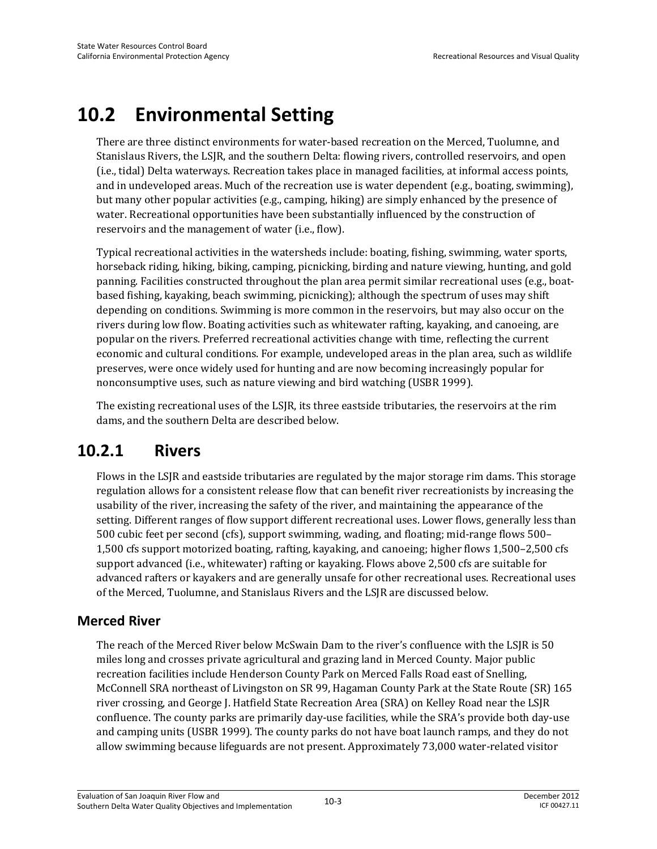# **10.2 Environmental Setting**

There are three distinct environments for water-based recreation on the Merced, Tuolumne, and Stanislaus Rivers, the LSJR, and the southern Delta: flowing rivers, controlled reservoirs, and open (i.e., tidal) Delta waterways. Recreation takes place in managed facilities, at informal access points, and in undeveloped areas. Much of the recreation use is water dependent (e.g., boating, swimming), but many other popular activities (e.g., camping, hiking) are simply enhanced by the presence of water. Recreational opportunities have been substantially influenced by the construction of reservoirs and the management of water (i.e., flow).

Typical recreational activities in the watersheds include: boating, fishing, swimming, water sports, horseback riding, hiking, biking, camping, picnicking, birding and nature viewing, hunting, and gold panning. Facilities constructed throughout the plan area permit similar recreational uses (e.g., boatbased fishing, kayaking, beach swimming, picnicking); although the spectrum of uses may shift depending on conditions. Swimming is more common in the reservoirs, but may also occur on the rivers during low flow. Boating activities such as whitewater rafting, kayaking, and canoeing, are popular on the rivers. Preferred recreational activities change with time, reflecting the current economic and cultural conditions. For example, undeveloped areas in the plan area, such as wildlife preserves, were once widely used for hunting and are now becoming increasingly popular for nonconsumptive uses, such as nature viewing and bird watching (USBR 1999).

The existing recreational uses of the LSJR, its three eastside tributaries, the reservoirs at the rim dams, and the southern Delta are described below.

# **10.2.1 Rivers**

Flows in the LSJR and eastside tributaries are regulated by the major storage rim dams. This storage regulation allows for a consistent release flow that can benefit river recreationists by increasing the usability of the river, increasing the safety of the river, and maintaining the appearance of the setting. Different ranges of flow support different recreational uses. Lower flows, generally less than 500 cubic feet per second (cfs), support swimming, wading, and floating; mid-range flows 500– 1,500 cfs support motorized boating, rafting, kayaking, and canoeing; higher flows 1,500–2,500 cfs support advanced (i.e., whitewater) rafting or kayaking. Flows above 2,500 cfs are suitable for advanced rafters or kayakers and are generally unsafe for other recreational uses. Recreational uses of the Merced, Tuolumne, and Stanislaus Rivers and the LSJR are discussed below.

# **Merced River**

The reach of the Merced River below McSwain Dam to the river's confluence with the LSJR is 50 miles long and crosses private agricultural and grazing land in Merced County. Major public recreation facilities include Henderson County Park on Merced Falls Road east of Snelling, McConnell SRA northeast of Livingston on SR 99, Hagaman County Park at the State Route (SR) 165 river crossing, and George J. Hatfield State Recreation Area (SRA) on Kelley Road near the LSJR confluence. The county parks are primarily day-use facilities, while the SRA's provide both day-use and camping units (USBR 1999). The county parks do not have boat launch ramps, and they do not allow swimming because lifeguards are not present. Approximately 73,000 water-related visitor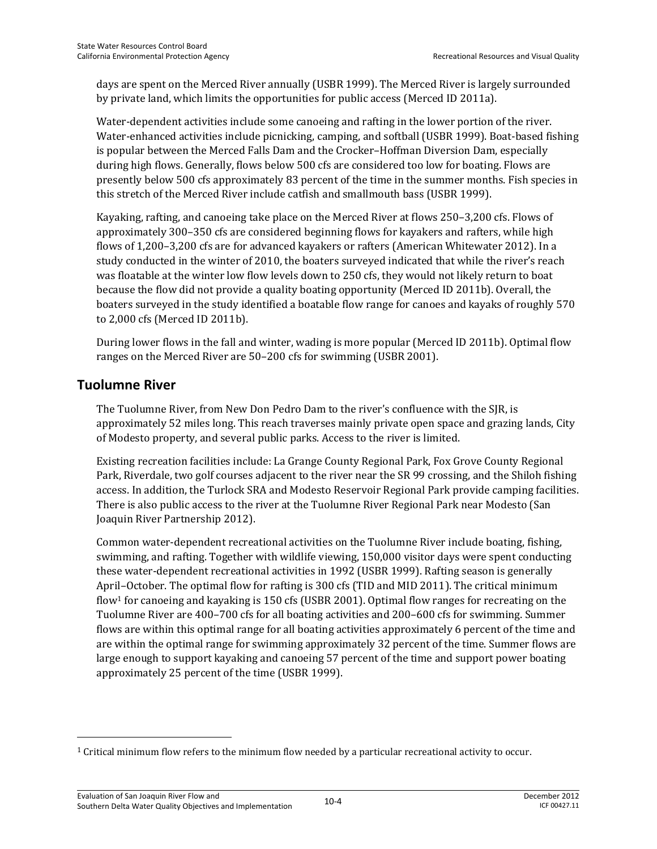days are spent on the Merced River annually (USBR 1999). The Merced River is largely surrounded by private land, which limits the opportunities for public access (Merced ID 2011a).

Water-dependent activities include some canoeing and rafting in the lower portion of the river. Water-enhanced activities include picnicking, camping, and softball (USBR 1999). Boat-based fishing is popular between the Merced Falls Dam and the Crocker–Hoffman Diversion Dam, especially during high flows. Generally, flows below 500 cfs are considered too low for boating. Flows are presently below 500 cfs approximately 83 percent of the time in the summer months. Fish species in this stretch of the Merced River include catfish and smallmouth bass (USBR 1999).

Kayaking, rafting, and canoeing take place on the Merced River at flows 250–3,200 cfs. Flows of approximately 300–350 cfs are considered beginning flows for kayakers and rafters, while high flows of 1,200–3,200 cfs are for advanced kayakers or rafters (American Whitewater 2012). In a study conducted in the winter of 2010, the boaters surveyed indicated that while the river's reach was floatable at the winter low flow levels down to 250 cfs, they would not likely return to boat because the flow did not provide a quality boating opportunity (Merced ID 2011b). Overall, the boaters surveyed in the study identified a boatable flow range for canoes and kayaks of roughly 570 to 2,000 cfs (Merced ID 2011b).

During lower flows in the fall and winter, wading is more popular (Merced ID 2011b). Optimal flow ranges on the Merced River are 50–200 cfs for swimming (USBR 2001).

#### **Tuolumne River**

 $\overline{\phantom{0}}$ 

The Tuolumne River, from New Don Pedro Dam to the river's confluence with the SJR, is approximately 52 miles long. This reach traverses mainly private open space and grazing lands, City of Modesto property, and several public parks. Access to the river is limited.

Existing recreation facilities include: La Grange County Regional Park, Fox Grove County Regional Park, Riverdale, two golf courses adjacent to the river near the SR 99 crossing, and the Shiloh fishing access. In addition, the Turlock SRA and Modesto Reservoir Regional Park provide camping facilities. There is also public access to the river at the Tuolumne River Regional Park near Modesto (San Joaquin River Partnership 2012).

Common water-dependent recreational activities on the Tuolumne River include boating, fishing, swimming, and rafting. Together with wildlife viewing, 150,000 visitor days were spent conducting these water-dependent recreational activities in 1992 (USBR 1999). Rafting season is generally April–October. The optimal flow for rafting is 300 cfs (TID and MID 2011). The critical minimum flow<sup>1</sup> for canoeing and kayaking is 150 cfs (USBR 2001). Optimal flow ranges for recreating on the Tuolumne River are 400–700 cfs for all boating activities and 200–600 cfs for swimming. Summer flows are within this optimal range for all boating activities approximately 6 percent of the time and are within the optimal range for swimming approximately 32 percent of the time. Summer flows are large enough to support kayaking and canoeing 57 percent of the time and support power boating approximately 25 percent of the time (USBR 1999).

<sup>1</sup> Critical minimum flow refers to the minimum flow needed by a particular recreational activity to occur.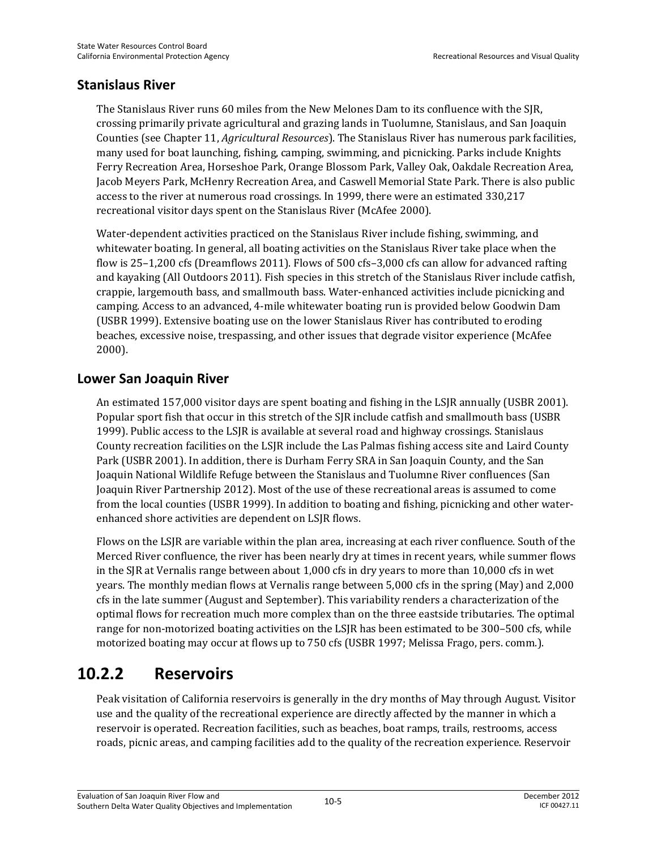### **Stanislaus River**

The Stanislaus River runs 60 miles from the New Melones Dam to its confluence with the SJR, crossing primarily private agricultural and grazing lands in Tuolumne, Stanislaus, and San Joaquin Counties (see Chapter 11, *Agricultural Resources*). The Stanislaus River has numerous park facilities, many used for boat launching, fishing, camping, swimming, and picnicking. Parks include Knights Ferry Recreation Area, Horseshoe Park, Orange Blossom Park, Valley Oak, Oakdale Recreation Area, Jacob Meyers Park, McHenry Recreation Area, and Caswell Memorial State Park. There is also public access to the river at numerous road crossings. In 1999, there were an estimated 330,217 recreational visitor days spent on the Stanislaus River (McAfee 2000).

Water-dependent activities practiced on the Stanislaus River include fishing, swimming, and whitewater boating. In general, all boating activities on the Stanislaus River take place when the flow is 25–1,200 cfs (Dreamflows 2011). Flows of 500 cfs–3,000 cfs can allow for advanced rafting and kayaking (All Outdoors 2011). Fish species in this stretch of the Stanislaus River include catfish, crappie, largemouth bass, and smallmouth bass. Water-enhanced activities include picnicking and camping. Access to an advanced, 4-mile whitewater boating run is provided below Goodwin Dam (USBR 1999). Extensive boating use on the lower Stanislaus River has contributed to eroding beaches, excessive noise, trespassing, and other issues that degrade visitor experience (McAfee 2000).

### **Lower San Joaquin River**

An estimated 157,000 visitor days are spent boating and fishing in the LSJR annually (USBR 2001). Popular sport fish that occur in this stretch of the SJR include catfish and smallmouth bass (USBR 1999). Public access to the LSJR is available at several road and highway crossings. Stanislaus County recreation facilities on the LSJR include the Las Palmas fishing access site and Laird County Park (USBR 2001). In addition, there is Durham Ferry SRA in San Joaquin County, and the San Joaquin National Wildlife Refuge between the Stanislaus and Tuolumne River confluences (San Joaquin River Partnership 2012). Most of the use of these recreational areas is assumed to come from the local counties (USBR 1999). In addition to boating and fishing, picnicking and other waterenhanced shore activities are dependent on LSJR flows.

Flows on the LSJR are variable within the plan area, increasing at each river confluence. South of the Merced River confluence, the river has been nearly dry at times in recent years, while summer flows in the SJR at Vernalis range between about 1,000 cfs in dry years to more than 10,000 cfs in wet years. The monthly median flows at Vernalis range between 5,000 cfs in the spring (May) and 2,000 cfs in the late summer (August and September). This variability renders a characterization of the optimal flows for recreation much more complex than on the three eastside tributaries. The optimal range for non-motorized boating activities on the LSJR has been estimated to be 300–500 cfs, while motorized boating may occur at flows up to 750 cfs (USBR 1997; Melissa Frago, pers. comm.).

# **10.2.2 Reservoirs**

Peak visitation of California reservoirs is generally in the dry months of May through August. Visitor use and the quality of the recreational experience are directly affected by the manner in which a reservoir is operated. Recreation facilities, such as beaches, boat ramps, trails, restrooms, access roads, picnic areas, and camping facilities add to the quality of the recreation experience. Reservoir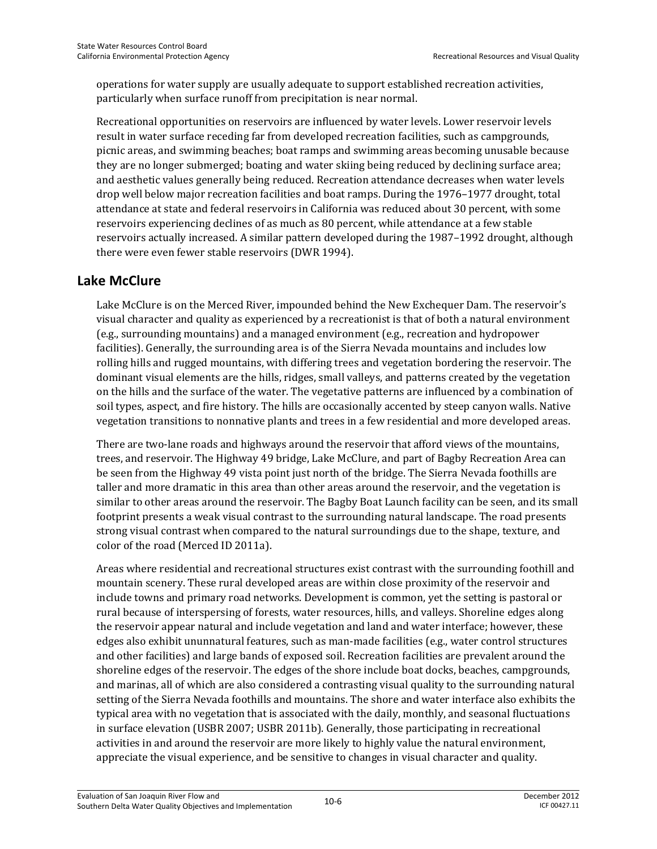operations for water supply are usually adequate to support established recreation activities, particularly when surface runoff from precipitation is near normal.

Recreational opportunities on reservoirs are influenced by water levels. Lower reservoir levels result in water surface receding far from developed recreation facilities, such as campgrounds, picnic areas, and swimming beaches; boat ramps and swimming areas becoming unusable because they are no longer submerged; boating and water skiing being reduced by declining surface area; and aesthetic values generally being reduced. Recreation attendance decreases when water levels drop well below major recreation facilities and boat ramps. During the 1976–1977 drought, total attendance at state and federal reservoirs in California was reduced about 30 percent, with some reservoirs experiencing declines of as much as 80 percent, while attendance at a few stable reservoirs actually increased. A similar pattern developed during the 1987–1992 drought, although there were even fewer stable reservoirs (DWR 1994).

#### **Lake McClure**

Lake McClure is on the Merced River, impounded behind the New Exchequer Dam. The reservoir's visual character and quality as experienced by a recreationist is that of both a natural environment (e.g., surrounding mountains) and a managed environment (e.g., recreation and hydropower facilities). Generally, the surrounding area is of the Sierra Nevada mountains and includes low rolling hills and rugged mountains, with differing trees and vegetation bordering the reservoir. The dominant visual elements are the hills, ridges, small valleys, and patterns created by the vegetation on the hills and the surface of the water. The vegetative patterns are influenced by a combination of soil types, aspect, and fire history. The hills are occasionally accented by steep canyon walls. Native vegetation transitions to nonnative plants and trees in a few residential and more developed areas.

There are two-lane roads and highways around the reservoir that afford views of the mountains, trees, and reservoir. The Highway 49 bridge, Lake McClure, and part of Bagby Recreation Area can be seen from the Highway 49 vista point just north of the bridge. The Sierra Nevada foothills are taller and more dramatic in this area than other areas around the reservoir, and the vegetation is similar to other areas around the reservoir. The Bagby Boat Launch facility can be seen, and its small footprint presents a weak visual contrast to the surrounding natural landscape. The road presents strong visual contrast when compared to the natural surroundings due to the shape, texture, and color of the road (Merced ID 2011a).

Areas where residential and recreational structures exist contrast with the surrounding foothill and mountain scenery. These rural developed areas are within close proximity of the reservoir and include towns and primary road networks. Development is common, yet the setting is pastoral or rural because of interspersing of forests, water resources, hills, and valleys. Shoreline edges along the reservoir appear natural and include vegetation and land and water interface; however, these edges also exhibit ununnatural features, such as man-made facilities (e.g., water control structures and other facilities) and large bands of exposed soil. Recreation facilities are prevalent around the shoreline edges of the reservoir. The edges of the shore include boat docks, beaches, campgrounds, and marinas, all of which are also considered a contrasting visual quality to the surrounding natural setting of the Sierra Nevada foothills and mountains. The shore and water interface also exhibits the typical area with no vegetation that is associated with the daily, monthly, and seasonal fluctuations in surface elevation (USBR 2007; USBR 2011b). Generally, those participating in recreational activities in and around the reservoir are more likely to highly value the natural environment, appreciate the visual experience, and be sensitive to changes in visual character and quality.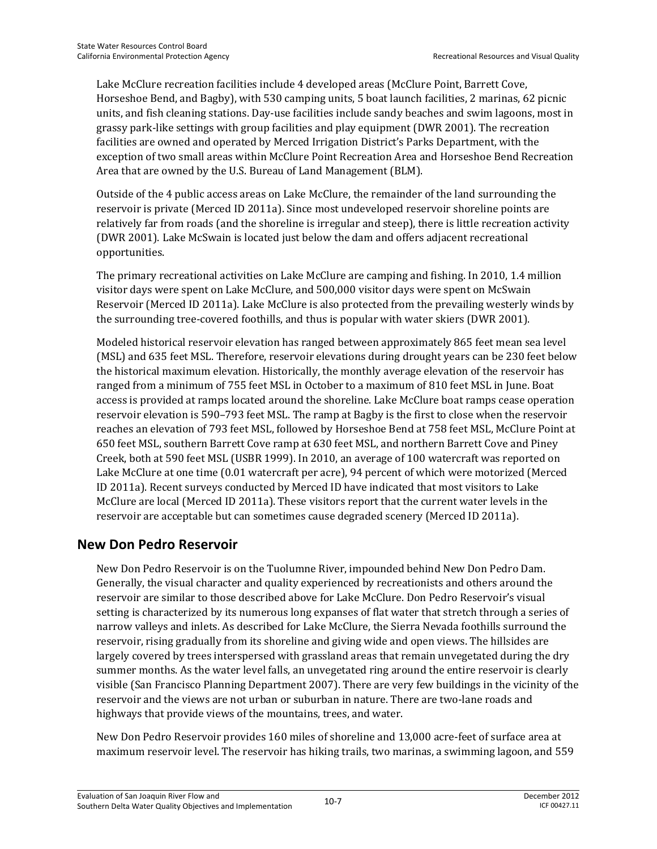Lake McClure recreation facilities include 4 developed areas (McClure Point, Barrett Cove, Horseshoe Bend, and Bagby), with 530 camping units, 5 boat launch facilities, 2 marinas, 62 picnic units, and fish cleaning stations. Day-use facilities include sandy beaches and swim lagoons, most in grassy park-like settings with group facilities and play equipment (DWR 2001). The recreation facilities are owned and operated by Merced Irrigation District's Parks Department, with the exception of two small areas within McClure Point Recreation Area and Horseshoe Bend Recreation Area that are owned by the U.S. Bureau of Land Management (BLM).

Outside of the 4 public access areas on Lake McClure, the remainder of the land surrounding the reservoir is private (Merced ID 2011a). Since most undeveloped reservoir shoreline points are relatively far from roads (and the shoreline is irregular and steep), there is little recreation activity (DWR 2001). Lake McSwain is located just below the dam and offers adjacent recreational opportunities.

The primary recreational activities on Lake McClure are camping and fishing. In 2010, 1.4 million visitor days were spent on Lake McClure, and 500,000 visitor days were spent on McSwain Reservoir (Merced ID 2011a). Lake McClure is also protected from the prevailing westerly winds by the surrounding tree-covered foothills, and thus is popular with water skiers (DWR 2001).

Modeled historical reservoir elevation has ranged between approximately 865 feet mean sea level (MSL) and 635 feet MSL. Therefore, reservoir elevations during drought years can be 230 feet below the historical maximum elevation. Historically, the monthly average elevation of the reservoir has ranged from a minimum of 755 feet MSL in October to a maximum of 810 feet MSL in June. Boat access is provided at ramps located around the shoreline. Lake McClure boat ramps cease operation reservoir elevation is 590–793 feet MSL. The ramp at Bagby is the first to close when the reservoir reaches an elevation of 793 feet MSL, followed by Horseshoe Bend at 758 feet MSL, McClure Point at 650 feet MSL, southern Barrett Cove ramp at 630 feet MSL, and northern Barrett Cove and Piney Creek, both at 590 feet MSL (USBR 1999). In 2010, an average of 100 watercraft was reported on Lake McClure at one time (0.01 watercraft per acre), 94 percent of which were motorized (Merced ID 2011a). Recent surveys conducted by Merced ID have indicated that most visitors to Lake McClure are local (Merced ID 2011a). These visitors report that the current water levels in the reservoir are acceptable but can sometimes cause degraded scenery (Merced ID 2011a).

#### **New Don Pedro Reservoir**

New Don Pedro Reservoir is on the Tuolumne River, impounded behind New Don Pedro Dam. Generally, the visual character and quality experienced by recreationists and others around the reservoir are similar to those described above for Lake McClure. Don Pedro Reservoir's visual setting is characterized by its numerous long expanses of flat water that stretch through a series of narrow valleys and inlets. As described for Lake McClure, the Sierra Nevada foothills surround the reservoir, rising gradually from its shoreline and giving wide and open views. The hillsides are largely covered by trees interspersed with grassland areas that remain unvegetated during the dry summer months. As the water level falls, an unvegetated ring around the entire reservoir is clearly visible (San Francisco Planning Department 2007). There are very few buildings in the vicinity of the reservoir and the views are not urban or suburban in nature. There are two-lane roads and highways that provide views of the mountains, trees, and water.

New Don Pedro Reservoir provides 160 miles of shoreline and 13,000 acre-feet of surface area at maximum reservoir level. The reservoir has hiking trails, two marinas, a swimming lagoon, and 559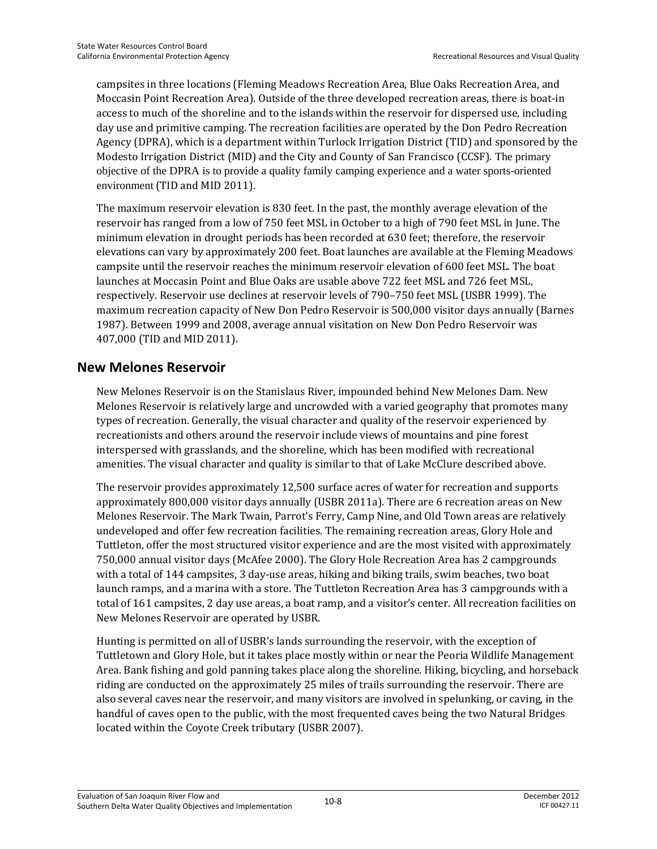campsites in three locations (Fleming Meadows Recreation Area, Blue Oaks Recreation Area, and Moccasin Point Recreation Area). Outside of the three developed recreation areas, there is boat-in access to much of the shoreline and to the islands within the reservoir for dispersed use, including day use and primitive camping. The recreation facilities are operated by the Don Pedro Recreation Agency (DPRA), which is a department within Turlock Irrigation District (TID) and sponsored by the Modesto Irrigation District (MID) and the City and County of San Francisco (CCSF). The primary objective of the DPRA is to provide a quality family camping experience and a water sports-oriented environment (TID and MID 2011).

The maximum reservoir elevation is 830 feet. In the past, the monthly average elevation of the reservoir has ranged from a low of 750 feet MSL in October to a high of 790 feet MSL in June. The minimum elevation in drought periods has been recorded at 630 feet; therefore, the reservoir elevations can vary by approximately 200 feet. Boat launches are available at the Fleming Meadows campsite until the reservoir reaches the minimum reservoir elevation of 600 feet MSL. The boat launches at Moccasin Point and Blue Oaks are usable above 722 feet MSL and 726 feet MSL, respectively. Reservoir use declines at reservoir levels of 790–750 feet MSL (USBR 1999). The maximum recreation capacity of New Don Pedro Reservoir is 500,000 visitor days annually (Barnes 1987). Between 1999 and 2008, average annual visitation on New Don Pedro Reservoir was 407,000 (TID and MID 2011).

### **New Melones Reservoir**

New Melones Reservoir is on the Stanislaus River, impounded behind New Melones Dam. New Melones Reservoir is relatively large and uncrowded with a varied geography that promotes many types of recreation. Generally, the visual character and quality of the reservoir experienced by recreationists and others around the reservoir include views of mountains and pine forest interspersed with grasslands, and the shoreline, which has been modified with recreational amenities. The visual character and quality is similar to that of Lake McClure described above.

The reservoir provides approximately 12,500 surface acres of water for recreation and supports approximately 800,000 visitor days annually (USBR 2011a). There are 6 recreation areas on New Melones Reservoir. The Mark Twain, Parrot's Ferry, Camp Nine, and Old Town areas are relatively undeveloped and offer few recreation facilities. The remaining recreation areas, Glory Hole and Tuttleton, offer the most structured visitor experience and are the most visited with approximately 750,000 annual visitor days (McAfee 2000). The Glory Hole Recreation Area has 2 campgrounds with a total of 144 campsites, 3 day-use areas, hiking and biking trails, swim beaches, two boat launch ramps, and a marina with a store. The Tuttleton Recreation Area has 3 campgrounds with a total of 161 campsites, 2 day use areas, a boat ramp, and a visitor's center. All recreation facilities on New Melones Reservoir are operated by USBR.

Hunting is permitted on all of USBR's lands surrounding the reservoir, with the exception of Tuttletown and Glory Hole, but it takes place mostly within or near the Peoria Wildlife Management Area. Bank fishing and gold panning takes place along the shoreline. Hiking, bicycling, and horseback riding are conducted on the approximately 25 miles of trails surrounding the reservoir. There are also several caves near the reservoir, and many visitors are involved in spelunking, or caving, in the handful of caves open to the public, with the most frequented caves being the two Natural Bridges located within the Coyote Creek tributary (USBR 2007).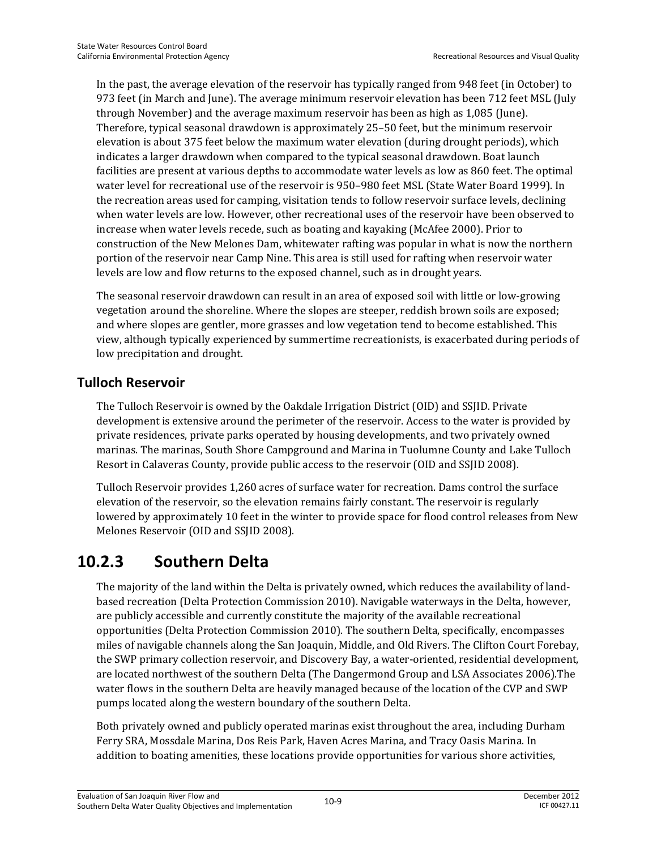In the past, the average elevation of the reservoir has typically ranged from 948 feet (in October) to 973 feet (in March and June). The average minimum reservoir elevation has been 712 feet MSL (July through November) and the average maximum reservoir has been as high as 1,085 (June). Therefore, typical seasonal drawdown is approximately 25–50 feet, but the minimum reservoir elevation is about 375 feet below the maximum water elevation (during drought periods), which indicates a larger drawdown when compared to the typical seasonal drawdown. Boat launch facilities are present at various depths to accommodate water levels as low as 860 feet. The optimal water level for recreational use of the reservoir is 950–980 feet MSL (State Water Board 1999). In the recreation areas used for camping, visitation tends to follow reservoir surface levels, declining when water levels are low. However, other recreational uses of the reservoir have been observed to increase when water levels recede, such as boating and kayaking (McAfee 2000). Prior to construction of the New Melones Dam, whitewater rafting was popular in what is now the northern portion of the reservoir near Camp Nine. This area is still used for rafting when reservoir water levels are low and flow returns to the exposed channel, such as in drought years.

The seasonal reservoir drawdown can result in an area of exposed soil with little or low-growing vegetation around the shoreline. Where the slopes are steeper, reddish brown soils are exposed; and where slopes are gentler, more grasses and low vegetation tend to become established. This view, although typically experienced by summertime recreationists, is exacerbated during periods of low precipitation and drought.

## **Tulloch Reservoir**

The Tulloch Reservoir is owned by the Oakdale Irrigation District (OID) and SSJID. Private development is extensive around the perimeter of the reservoir. Access to the water is provided by private residences, private parks operated by housing developments, and two privately owned marinas. The marinas, South Shore Campground and Marina in Tuolumne County and Lake Tulloch Resort in Calaveras County, provide public access to the reservoir (OID and SSJID 2008).

Tulloch Reservoir provides 1,260 acres of surface water for recreation. Dams control the surface elevation of the reservoir, so the elevation remains fairly constant. The reservoir is regularly lowered by approximately 10 feet in the winter to provide space for flood control releases from New Melones Reservoir (OID and SSJID 2008).

# **10.2.3 Southern Delta**

The majority of the land within the Delta is privately owned, which reduces the availability of landbased recreation (Delta Protection Commission 2010). Navigable waterways in the Delta, however, are publicly accessible and currently constitute the majority of the available recreational opportunities (Delta Protection Commission 2010). The southern Delta, specifically, encompasses miles of navigable channels along the San Joaquin, Middle, and Old Rivers. The Clifton Court Forebay, the SWP primary collection reservoir, and Discovery Bay, a water-oriented, residential development, are located northwest of the southern Delta (The Dangermond Group and LSA Associates 2006).The water flows in the southern Delta are heavily managed because of the location of the CVP and SWP pumps located along the western boundary of the southern Delta.

Both privately owned and publicly operated marinas exist throughout the area, including Durham Ferry SRA, Mossdale Marina, Dos Reis Park, Haven Acres Marina, and Tracy Oasis Marina. In addition to boating amenities, these locations provide opportunities for various shore activities,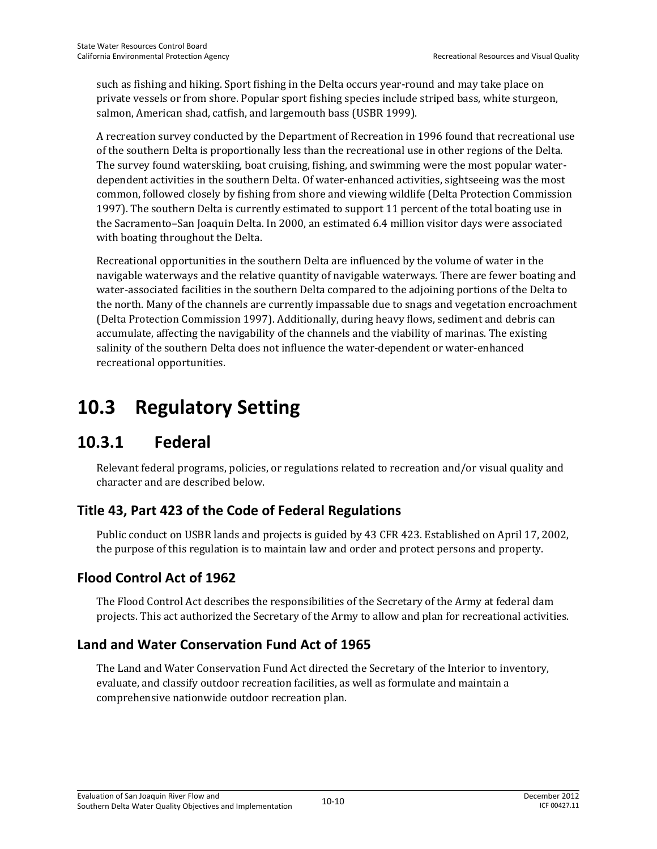such as fishing and hiking. Sport fishing in the Delta occurs year-round and may take place on private vessels or from shore. Popular sport fishing species include striped bass, white sturgeon, salmon, American shad, catfish, and largemouth bass (USBR 1999).

A recreation survey conducted by the Department of Recreation in 1996 found that recreational use of the southern Delta is proportionally less than the recreational use in other regions of the Delta. The survey found waterskiing, boat cruising, fishing, and swimming were the most popular waterdependent activities in the southern Delta. Of water-enhanced activities, sightseeing was the most common, followed closely by fishing from shore and viewing wildlife (Delta Protection Commission 1997). The southern Delta is currently estimated to support 11 percent of the total boating use in the Sacramento–San Joaquin Delta. In 2000, an estimated 6.4 million visitor days were associated with boating throughout the Delta.

Recreational opportunities in the southern Delta are influenced by the volume of water in the navigable waterways and the relative quantity of navigable waterways. There are fewer boating and water-associated facilities in the southern Delta compared to the adjoining portions of the Delta to the north. Many of the channels are currently impassable due to snags and vegetation encroachment (Delta Protection Commission 1997). Additionally, during heavy flows, sediment and debris can accumulate, affecting the navigability of the channels and the viability of marinas. The existing salinity of the southern Delta does not influence the water-dependent or water-enhanced recreational opportunities.

# **10.3 Regulatory Setting**

# **10.3.1 Federal**

Relevant federal programs, policies, or regulations related to recreation and/or visual quality and character and are described below.

## **Title 43, Part 423 of the Code of Federal Regulations**

Public conduct on USBR lands and projects is guided by 43 CFR 423. Established on April 17, 2002, the purpose of this regulation is to maintain law and order and protect persons and property.

## **Flood Control Act of 1962**

The Flood Control Act describes the responsibilities of the Secretary of the Army at federal dam projects. This act authorized the Secretary of the Army to allow and plan for recreational activities.

## **Land and Water Conservation Fund Act of 1965**

The Land and Water Conservation Fund Act directed the Secretary of the Interior to inventory, evaluate, and classify outdoor recreation facilities, as well as formulate and maintain a comprehensive nationwide outdoor recreation plan.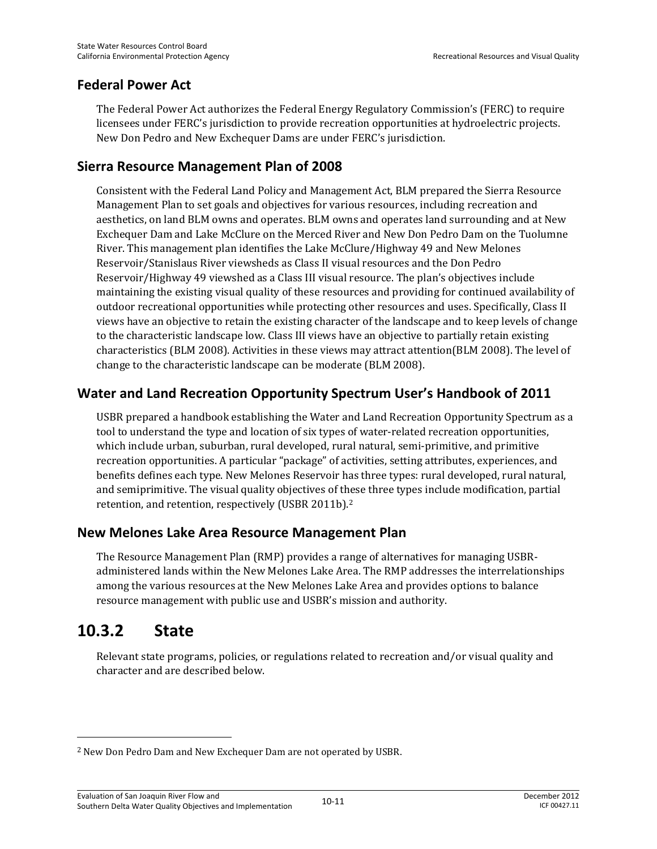#### **Federal Power Act**

The Federal Power Act authorizes the Federal Energy Regulatory Commission's (FERC) to require licensees under FERC's jurisdiction to provide recreation opportunities at hydroelectric projects. New Don Pedro and New Exchequer Dams are under FERC's jurisdiction.

### **Sierra Resource Management Plan of 2008**

Consistent with the Federal Land Policy and Management Act, BLM prepared the Sierra Resource Management Plan to set goals and objectives for various resources, including recreation and aesthetics, on land BLM owns and operates. BLM owns and operates land surrounding and at New Exchequer Dam and Lake McClure on the Merced River and New Don Pedro Dam on the Tuolumne River. This management plan identifies the Lake McClure/Highway 49 and New Melones Reservoir/Stanislaus River viewsheds as Class II visual resources and the Don Pedro Reservoir/Highway 49 viewshed as a Class III visual resource. The plan's objectives include maintaining the existing visual quality of these resources and providing for continued availability of outdoor recreational opportunities while protecting other resources and uses. Specifically, Class II views have an objective to retain the existing character of the landscape and to keep levels of change to the characteristic landscape low. Class III views have an objective to partially retain existing characteristics (BLM 2008). Activities in these views may attract attention(BLM 2008). The level of change to the characteristic landscape can be moderate (BLM 2008).

## **Water and Land Recreation Opportunity Spectrum User's Handbook of 2011**

USBR prepared a handbook establishing the Water and Land Recreation Opportunity Spectrum as a tool to understand the type and location of six types of water-related recreation opportunities, which include urban, suburban, rural developed, rural natural, semi-primitive, and primitive recreation opportunities. A particular "package" of activities, setting attributes, experiences, and benefits defines each type. New Melones Reservoir has three types: rural developed, rural natural, and semiprimitive. The visual quality objectives of these three types include modification, partial retention, and retention, respectively (USBR 2011b).2

## **New Melones Lake Area Resource Management Plan**

The Resource Management Plan (RMP) provides a range of alternatives for managing USBRadministered lands within the New Melones Lake Area. The RMP addresses the interrelationships among the various resources at the New Melones Lake Area and provides options to balance resource management with public use and USBR's mission and authority.

# **10.3.2 State**

 $\overline{\phantom{0}}$ 

Relevant state programs, policies, or regulations related to recreation and/or visual quality and character and are described below.

<sup>2</sup> New Don Pedro Dam and New Exchequer Dam are not operated by USBR.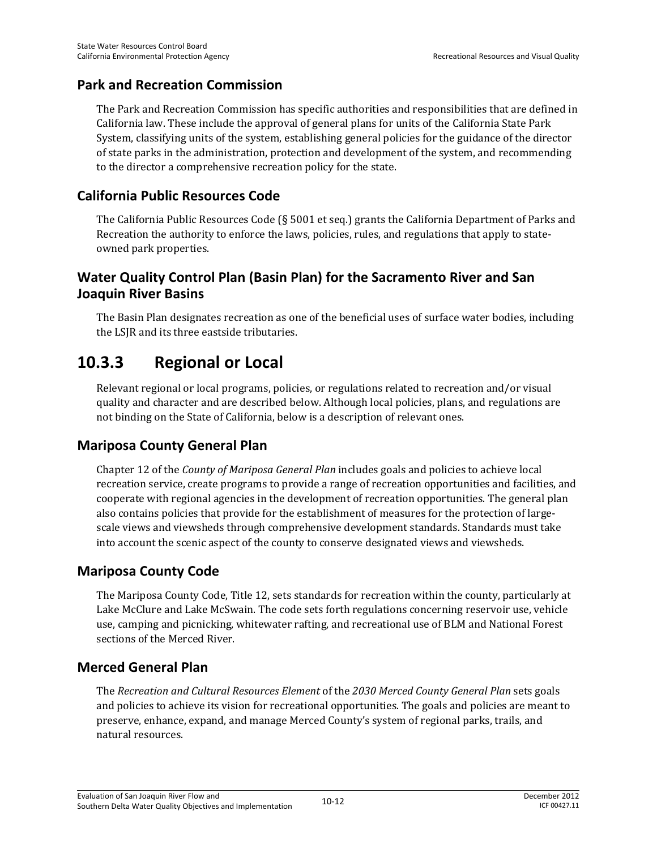#### **Park and Recreation Commission**

The Park and Recreation Commission has specific authorities and responsibilities that are defined in California law. These include the approval of general plans for units of the California State Park System, classifying units of the system, establishing general policies for the guidance of the director of state parks in the administration, protection and development of the system, and recommending to the director a comprehensive recreation policy for the state.

#### **California Public Resources Code**

The California Public Resources Code (§ 5001 et seq.) grants the California Department of Parks and Recreation the authority to enforce the laws, policies, rules, and regulations that apply to stateowned park properties.

### **Water Quality Control Plan (Basin Plan) for the Sacramento River and San Joaquin River Basins**

The Basin Plan designates recreation as one of the beneficial uses of surface water bodies, including the LSJR and its three eastside tributaries.

# **10.3.3 Regional or Local**

Relevant regional or local programs, policies, or regulations related to recreation and/or visual quality and character and are described below. Although local policies, plans, and regulations are not binding on the State of California, below is a description of relevant ones.

## **Mariposa County General Plan**

Chapter 12 of the *County of Mariposa General Plan* includes goals and policies to achieve local recreation service, create programs to provide a range of recreation opportunities and facilities, and cooperate with regional agencies in the development of recreation opportunities. The general plan also contains policies that provide for the establishment of measures for the protection of largescale views and viewsheds through comprehensive development standards. Standards must take into account the scenic aspect of the county to conserve designated views and viewsheds.

#### **Mariposa County Code**

The Mariposa County Code, Title 12, sets standards for recreation within the county, particularly at Lake McClure and Lake McSwain. The code sets forth regulations concerning reservoir use, vehicle use, camping and picnicking, whitewater rafting, and recreational use of BLM and National Forest sections of the Merced River.

## **Merced General Plan**

The *Recreation and Cultural Resources Element* of the *2030 Merced County General Plan* sets goals and policies to achieve its vision for recreational opportunities. The goals and policies are meant to preserve, enhance, expand, and manage Merced County's system of regional parks, trails, and natural resources.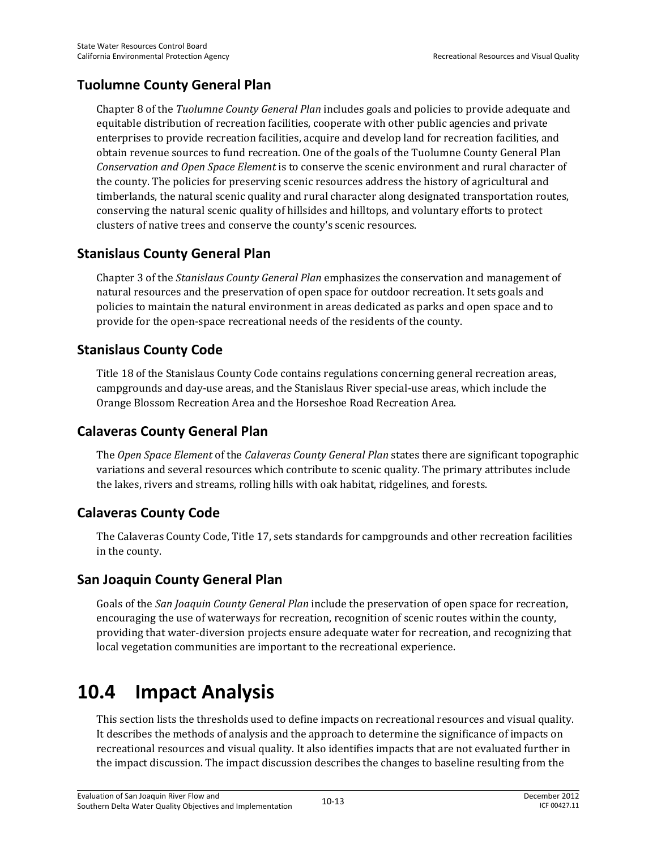## **Tuolumne County General Plan**

Chapter 8 of the *Tuolumne County General Plan* includes goals and policies to provide adequate and equitable distribution of recreation facilities, cooperate with other public agencies and private enterprises to provide recreation facilities, acquire and develop land for recreation facilities, and obtain revenue sources to fund recreation. One of the goals of the Tuolumne County General Plan *Conservation and Open Space Element* is to conserve the scenic environment and rural character of the county. The policies for preserving scenic resources address the history of agricultural and timberlands, the natural scenic quality and rural character along designated transportation routes, conserving the natural scenic quality of hillsides and hilltops, and voluntary efforts to protect clusters of native trees and conserve the county's scenic resources.

## **Stanislaus County General Plan**

Chapter 3 of the *Stanislaus County General Plan* emphasizes the conservation and management of natural resources and the preservation of open space for outdoor recreation. It sets goals and policies to maintain the natural environment in areas dedicated as parks and open space and to provide for the open-space recreational needs of the residents of the county.

## **Stanislaus County Code**

Title 18 of the Stanislaus County Code contains regulations concerning general recreation areas, campgrounds and day-use areas, and the Stanislaus River special-use areas, which include the Orange Blossom Recreation Area and the Horseshoe Road Recreation Area.

## **Calaveras County General Plan**

The *Open Space Element* of the *Calaveras County General Plan* states there are significant topographic variations and several resources which contribute to scenic quality. The primary attributes include the lakes, rivers and streams, rolling hills with oak habitat, ridgelines, and forests.

# **Calaveras County Code**

The Calaveras County Code, Title 17, sets standards for campgrounds and other recreation facilities in the county.

## **San Joaquin County General Plan**

Goals of the *San Joaquin County General Plan* include the preservation of open space for recreation, encouraging the use of waterways for recreation, recognition of scenic routes within the county, providing that water-diversion projects ensure adequate water for recreation, and recognizing that local vegetation communities are important to the recreational experience.

# **10.4 Impact Analysis**

This section lists the thresholds used to define impacts on recreational resources and visual quality. It describes the methods of analysis and the approach to determine the significance of impacts on recreational resources and visual quality. It also identifies impacts that are not evaluated further in the impact discussion. The impact discussion describes the changes to baseline resulting from the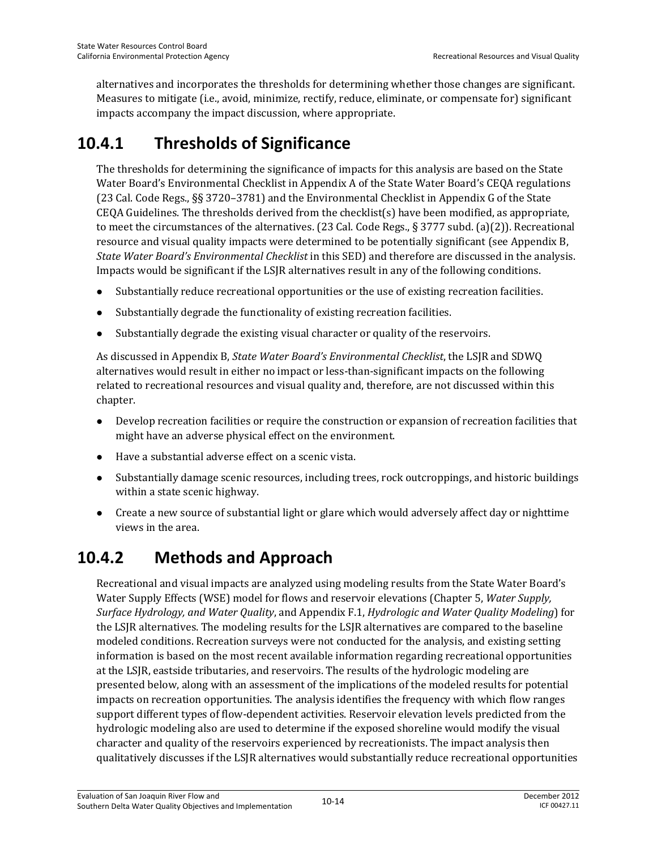alternatives and incorporates the thresholds for determining whether those changes are significant. Measures to mitigate (i.e., avoid, minimize, rectify, reduce, eliminate, or compensate for) significant impacts accompany the impact discussion, where appropriate.

# **10.4.1 Thresholds of Significance**

The thresholds for determining the significance of impacts for this analysis are based on the State Water Board's Environmental Checklist in Appendix A of the State Water Board's CEQA regulations (23 Cal. Code Regs., §§ 3720–3781) and the Environmental Checklist in Appendix G of the State CEQA Guidelines. The thresholds derived from the checklist(s) have been modified, as appropriate, to meet the circumstances of the alternatives. (23 Cal. Code Regs., § 3777 subd. (a)(2)). Recreational resource and visual quality impacts were determined to be potentially significant (see Appendix B, *State Water Board's Environmental Checklist* in this SED) and therefore are discussed in the analysis. Impacts would be significant if the LSJR alternatives result in any of the following conditions.

- Substantially reduce recreational opportunities or the use of existing recreation facilities.
- Substantially degrade the functionality of existing recreation facilities.
- Substantially degrade the existing visual character or quality of the reservoirs.

As discussed in Appendix B, *State Water Board's Environmental Checklist*, the LSJR and SDWQ alternatives would result in either no impact or less-than-significant impacts on the following related to recreational resources and visual quality and, therefore, are not discussed within this chapter.

- Develop recreation facilities or require the construction or expansion of recreation facilities that might have an adverse physical effect on the environment.
- Have a substantial adverse effect on a scenic vista.
- Substantially damage scenic resources, including trees, rock outcroppings, and historic buildings within a state scenic highway.
- Create a new source of substantial light or glare which would adversely affect day or nighttime views in the area.

# **10.4.2 Methods and Approach**

Recreational and visual impacts are analyzed using modeling results from the State Water Board's Water Supply Effects (WSE) model for flows and reservoir elevations (Chapter 5, *Water Supply, Surface Hydrology, and Water Quality*, and Appendix F.1, *Hydrologic and Water Quality Modeling*) for the LSJR alternatives. The modeling results for the LSJR alternatives are compared to the baseline modeled conditions. Recreation surveys were not conducted for the analysis, and existing setting information is based on the most recent available information regarding recreational opportunities at the LSJR, eastside tributaries, and reservoirs. The results of the hydrologic modeling are presented below, along with an assessment of the implications of the modeled results for potential impacts on recreation opportunities. The analysis identifies the frequency with which flow ranges support different types of flow-dependent activities. Reservoir elevation levels predicted from the hydrologic modeling also are used to determine if the exposed shoreline would modify the visual character and quality of the reservoirs experienced by recreationists. The impact analysis then qualitatively discusses if the LSJR alternatives would substantially reduce recreational opportunities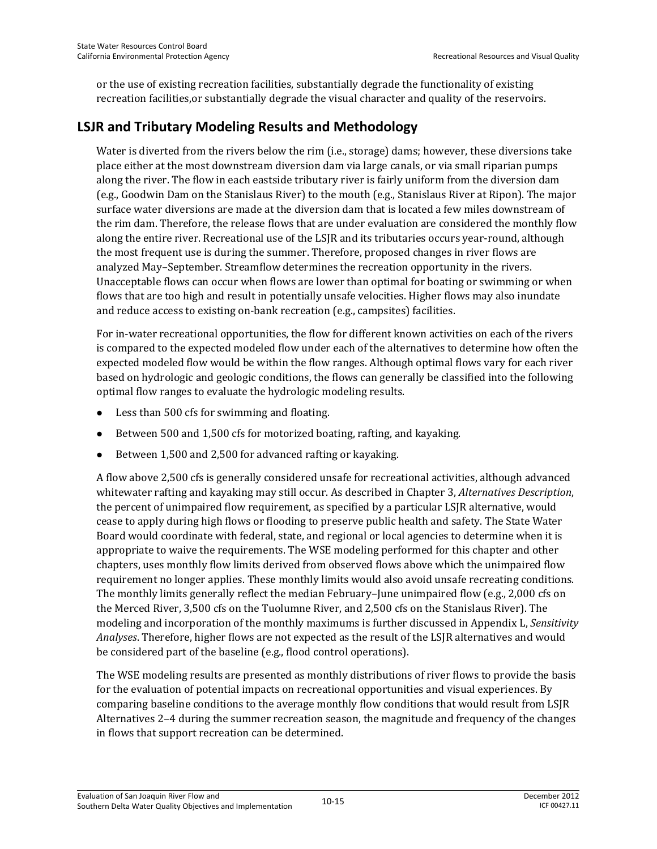or the use of existing recreation facilities, substantially degrade the functionality of existing recreation facilities,or substantially degrade the visual character and quality of the reservoirs.

### **LSJR and Tributary Modeling Results and Methodology**

Water is diverted from the rivers below the rim (i.e., storage) dams; however, these diversions take place either at the most downstream diversion dam via large canals, or via small riparian pumps along the river. The flow in each eastside tributary river is fairly uniform from the diversion dam (e.g., Goodwin Dam on the Stanislaus River) to the mouth (e.g., Stanislaus River at Ripon). The major surface water diversions are made at the diversion dam that is located a few miles downstream of the rim dam. Therefore, the release flows that are under evaluation are considered the monthly flow along the entire river. Recreational use of the LSJR and its tributaries occurs year-round, although the most frequent use is during the summer. Therefore, proposed changes in river flows are analyzed May–September. Streamflow determines the recreation opportunity in the rivers. Unacceptable flows can occur when flows are lower than optimal for boating or swimming or when flows that are too high and result in potentially unsafe velocities. Higher flows may also inundate and reduce access to existing on-bank recreation (e.g., campsites) facilities.

For in-water recreational opportunities, the flow for different known activities on each of the rivers is compared to the expected modeled flow under each of the alternatives to determine how often the expected modeled flow would be within the flow ranges. Although optimal flows vary for each river based on hydrologic and geologic conditions, the flows can generally be classified into the following optimal flow ranges to evaluate the hydrologic modeling results.

- Less than 500 cfs for swimming and floating.
- Between 500 and 1,500 cfs for motorized boating, rafting, and kayaking.
- Between 1,500 and 2,500 for advanced rafting or kayaking.

A flow above 2,500 cfs is generally considered unsafe for recreational activities, although advanced whitewater rafting and kayaking may still occur. As described in Chapter 3, *Alternatives Description*, the percent of unimpaired flow requirement, as specified by a particular LSJR alternative, would cease to apply during high flows or flooding to preserve public health and safety. The State Water Board would coordinate with federal, state, and regional or local agencies to determine when it is appropriate to waive the requirements. The WSE modeling performed for this chapter and other chapters, uses monthly flow limits derived from observed flows above which the unimpaired flow requirement no longer applies. These monthly limits would also avoid unsafe recreating conditions. The monthly limits generally reflect the median February–June unimpaired flow (e.g., 2,000 cfs on the Merced River, 3,500 cfs on the Tuolumne River, and 2,500 cfs on the Stanislaus River). The modeling and incorporation of the monthly maximums is further discussed in Appendix L, *Sensitivity Analyses*. Therefore, higher flows are not expected as the result of the LSJR alternatives and would be considered part of the baseline (e.g., flood control operations).

The WSE modeling results are presented as monthly distributions of river flows to provide the basis for the evaluation of potential impacts on recreational opportunities and visual experiences. By comparing baseline conditions to the average monthly flow conditions that would result from LSJR Alternatives 2–4 during the summer recreation season, the magnitude and frequency of the changes in flows that support recreation can be determined.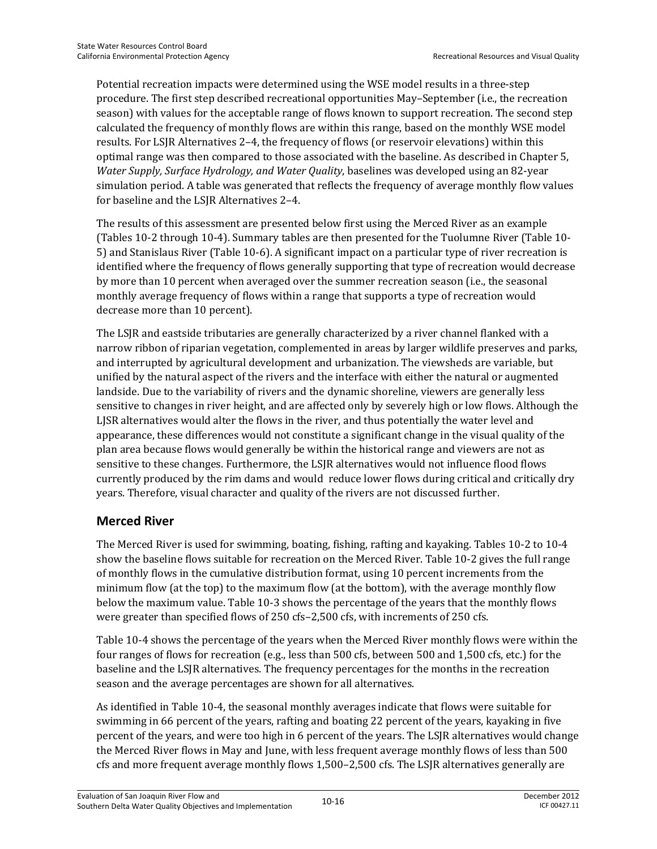Potential recreation impacts were determined using the WSE model results in a three-step procedure. The first step described recreational opportunities May–September (i.e., the recreation season) with values for the acceptable range of flows known to support recreation. The second step calculated the frequency of monthly flows are within this range, based on the monthly WSE model results. For LSJR Alternatives 2–4, the frequency of flows (or reservoir elevations) within this optimal range was then compared to those associated with the baseline. As described in Chapter 5, *Water Supply, Surface Hydrology, and Water Quality*, baselines was developed using an 82-year simulation period. A table was generated that reflects the frequency of average monthly flow values for baseline and the LSJR Alternatives 2–4.

The results of this assessment are presented below first using the Merced River as an example (Tables 10-2 through 10-4). Summary tables are then presented for the Tuolumne River (Table 10- 5) and Stanislaus River (Table 10-6). A significant impact on a particular type of river recreation is identified where the frequency of flows generally supporting that type of recreation would decrease by more than 10 percent when averaged over the summer recreation season (i.e., the seasonal monthly average frequency of flows within a range that supports a type of recreation would decrease more than 10 percent).

The LSJR and eastside tributaries are generally characterized by a river channel flanked with a narrow ribbon of riparian vegetation, complemented in areas by larger wildlife preserves and parks, and interrupted by agricultural development and urbanization. The viewsheds are variable, but unified by the natural aspect of the rivers and the interface with either the natural or augmented landside. Due to the variability of rivers and the dynamic shoreline, viewers are generally less sensitive to changes in river height, and are affected only by severely high or low flows. Although the LJSR alternatives would alter the flows in the river, and thus potentially the water level and appearance, these differences would not constitute a significant change in the visual quality of the plan area because flows would generally be within the historical range and viewers are not as sensitive to these changes. Furthermore, the LSJR alternatives would not influence flood flows currently produced by the rim dams and would reduce lower flows during critical and critically dry years. Therefore, visual character and quality of the rivers are not discussed further.

#### **Merced River**

The Merced River is used for swimming, boating, fishing, rafting and kayaking. Tables 10-2 to 10-4 show the baseline flows suitable for recreation on the Merced River. Table 10-2 gives the full range of monthly flows in the cumulative distribution format, using 10 percent increments from the minimum flow (at the top) to the maximum flow (at the bottom), with the average monthly flow below the maximum value. Table 10-3 shows the percentage of the years that the monthly flows were greater than specified flows of 250 cfs–2,500 cfs, with increments of 250 cfs.

Table 10-4 shows the percentage of the years when the Merced River monthly flows were within the four ranges of flows for recreation (e.g., less than 500 cfs, between 500 and 1,500 cfs, etc.) for the baseline and the LSJR alternatives. The frequency percentages for the months in the recreation season and the average percentages are shown for all alternatives.

As identified in Table 10-4, the seasonal monthly averages indicate that flows were suitable for swimming in 66 percent of the years, rafting and boating 22 percent of the years, kayaking in five percent of the years, and were too high in 6 percent of the years. The LSJR alternatives would change the Merced River flows in May and June, with less frequent average monthly flows of less than 500 cfs and more frequent average monthly flows 1,500–2,500 cfs. The LSJR alternatives generally are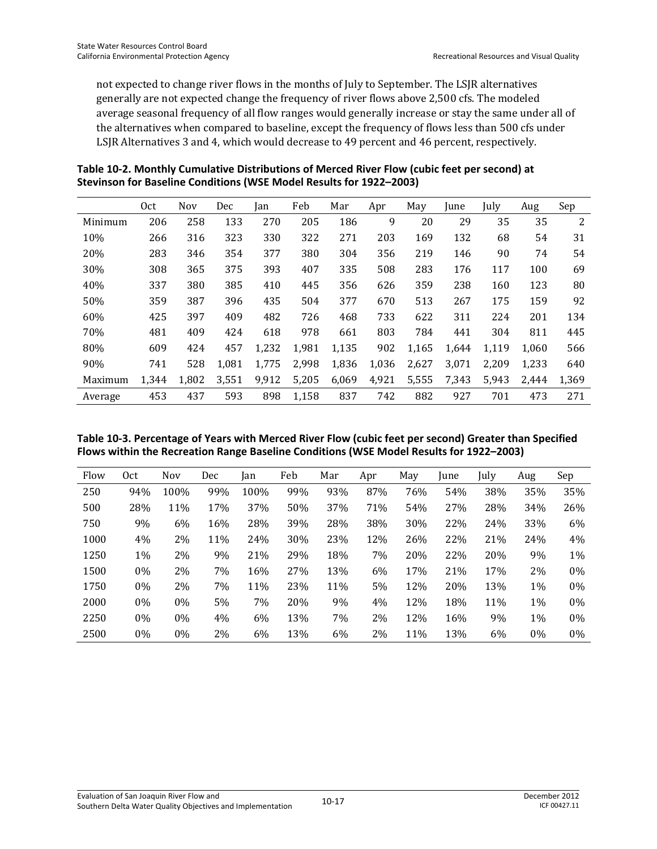not expected to change river flows in the months of July to September. The LSJR alternatives generally are not expected change the frequency of river flows above 2,500 cfs. The modeled average seasonal frequency of all flow ranges would generally increase or stay the same under all of the alternatives when compared to baseline, except the frequency of flows less than 500 cfs under LSJR Alternatives 3 and 4, which would decrease to 49 percent and 46 percent, respectively.

| Table 10-2. Monthly Cumulative Distributions of Merced River Flow (cubic feet per second) at |
|----------------------------------------------------------------------------------------------|
| Stevinson for Baseline Conditions (WSE Model Results for 1922-2003)                          |

|         | 0ct   | <b>Nov</b> | Dec   | Jan   | Feb   | Mar   | Apr   | May   | June  | July  | Aug   | Sep   |
|---------|-------|------------|-------|-------|-------|-------|-------|-------|-------|-------|-------|-------|
| Minimum | 206   | 258        | 133   | 270   | 205   | 186   | 9     | 20    | 29    | 35    | 35    | 2     |
| 10%     | 266   | 316        | 323   | 330   | 322   | 271   | 203   | 169   | 132   | 68    | 54    | 31    |
| 20%     | 283   | 346        | 354   | 377   | 380   | 304   | 356   | 219   | 146   | 90    | 74    | 54    |
| 30%     | 308   | 365        | 375   | 393   | 407   | 335   | 508   | 283   | 176   | 117   | 100   | 69    |
| 40%     | 337   | 380        | 385   | 410   | 445   | 356   | 626   | 359   | 238   | 160   | 123   | 80    |
| 50%     | 359   | 387        | 396   | 435   | 504   | 377   | 670   | 513   | 267   | 175   | 159   | 92    |
| 60%     | 425   | 397        | 409   | 482   | 726   | 468   | 733   | 622   | 311   | 224   | 201   | 134   |
| 70%     | 481   | 409        | 424   | 618   | 978   | 661   | 803   | 784   | 441   | 304   | 811   | 445   |
| 80%     | 609   | 424        | 457   | 1,232 | 1,981 | 1,135 | 902   | 1,165 | 1,644 | 1,119 | 1,060 | 566   |
| 90%     | 741   | 528        | 1,081 | 1,775 | 2,998 | 1,836 | 1,036 | 2,627 | 3,071 | 2.209 | 1.233 | 640   |
| Maximum | 1,344 | 1,802      | 3,551 | 9,912 | 5,205 | 6,069 | 4,921 | 5,555 | 7,343 | 5,943 | 2,444 | 1,369 |
| Average | 453   | 437        | 593   | 898   | 1,158 | 837   | 742   | 882   | 927   | 701   | 473   | 271   |

| Table 10-3. Percentage of Years with Merced River Flow (cubic feet per second) Greater than Specified |
|-------------------------------------------------------------------------------------------------------|
| Flows within the Recreation Range Baseline Conditions (WSE Model Results for 1922-2003)               |

| Flow | 0ct   | <b>Nov</b> | Dec | lan  | Feb | Mar | Apr | May | <i>lune</i> | July | Aug   | Sep   |
|------|-------|------------|-----|------|-----|-----|-----|-----|-------------|------|-------|-------|
| 250  | 94%   | 100%       | 99% | 100% | 99% | 93% | 87% | 76% | 54%         | 38%  | 35%   | 35%   |
| 500  | 28%   | 11%        | 17% | 37%  | 50% | 37% | 71% | 54% | 27%         | 28%  | 34%   | 26%   |
| 750  | 9%    | 6%         | 16% | 28%  | 39% | 28% | 38% | 30% | 22%         | 24%  | 33%   | 6%    |
| 1000 | 4%    | 2%         | 11% | 24%  | 30% | 23% | 12% | 26% | 22%         | 21%  | 24%   | 4%    |
| 1250 | $1\%$ | 2%         | 9%  | 21%  | 29% | 18% | 7%  | 20% | 22%         | 20%  | 9%    | 1%    |
| 1500 | 0%    | 2%         | 7%  | 16%  | 27% | 13% | 6%  | 17% | 21%         | 17%  | 2%    | $0\%$ |
| 1750 | 0%    | 2%         | 7%  | 11%  | 23% | 11% | 5%  | 12% | 20%         | 13%  | 1%    | 0%    |
| 2000 | $0\%$ | $0\%$      | 5%  | 7%   | 20% | 9%  | 4%  | 12% | 18%         | 11%  | 1%    | $0\%$ |
| 2250 | $0\%$ | $0\%$      | 4%  | 6%   | 13% | 7%  | 2%  | 12% | 16%         | 9%   | 1%    | $0\%$ |
| 2500 | 0%    | $0\%$      | 2%  | 6%   | 13% | 6%  | 2%  | 11% | 13%         | 6%   | $0\%$ | $0\%$ |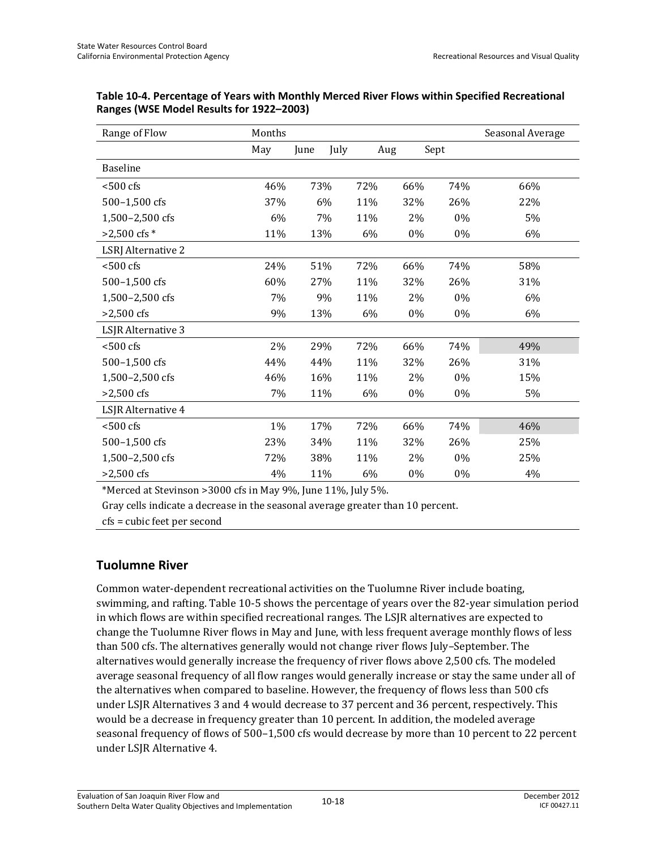| Range of Flow             | Months |      |      |     |      | Seasonal Average |
|---------------------------|--------|------|------|-----|------|------------------|
|                           | May    | June | July | Aug | Sept |                  |
| <b>Baseline</b>           |        |      |      |     |      |                  |
| $< 500 \text{ cfs}$       | 46%    | 73%  | 72%  | 66% | 74%  | 66%              |
| 500-1,500 cfs             | 37%    | 6%   | 11%  | 32% | 26%  | 22%              |
| 1,500-2,500 cfs           | 6%     | 7%   | 11%  | 2%  | 0%   | 5%               |
| $>2,500$ cfs $*$          | 11%    | 13%  | 6%   | 0%  | 0%   | 6%               |
| <b>LSRJ</b> Alternative 2 |        |      |      |     |      |                  |
| $< 500 \text{ cfs}$       | 24%    | 51%  | 72%  | 66% | 74%  | 58%              |
| 500-1,500 cfs             | 60%    | 27%  | 11%  | 32% | 26%  | 31%              |
| 1,500-2,500 cfs           | 7%     | 9%   | 11%  | 2%  | 0%   | 6%               |
| $>2,500$ cfs              | 9%     | 13%  | 6%   | 0%  | 0%   | 6%               |
| LSJR Alternative 3        |        |      |      |     |      |                  |
| $< 500 \text{ cfs}$       | 2%     | 29%  | 72%  | 66% | 74%  | 49%              |
| 500-1,500 cfs             | 44%    | 44%  | 11%  | 32% | 26%  | 31%              |
| 1,500-2,500 cfs           | 46%    | 16%  | 11%  | 2%  | 0%   | 15%              |
| $>2,500$ cfs              | 7%     | 11%  | 6%   | 0%  | 0%   | 5%               |
| LSJR Alternative 4        |        |      |      |     |      |                  |
| $< 500 \text{ cfs}$       | 1%     | 17%  | 72%  | 66% | 74%  | 46%              |
| 500-1,500 cfs             | 23%    | 34%  | 11%  | 32% | 26%  | 25%              |
| 1,500-2,500 cfs           | 72%    | 38%  | 11%  | 2%  | 0%   | 25%              |
| $>2,500$ cfs              | 4%     | 11%  | 6%   | 0%  | 0%   | 4%               |

**Table 10-4. Percentage of Years with Monthly Merced River Flows within Specified Recreational Ranges (WSE Model Results for 1922–2003)** 

\*Merced at Stevinson >3000 cfs in May 9%, June 11%, July 5%.

Gray cells indicate a decrease in the seasonal average greater than 10 percent.

cfs = cubic feet per second

#### **Tuolumne River**

Common water-dependent recreational activities on the Tuolumne River include boating, swimming, and rafting. Table 10-5 shows the percentage of years over the 82-year simulation period in which flows are within specified recreational ranges. The LSJR alternatives are expected to change the Tuolumne River flows in May and June, with less frequent average monthly flows of less than 500 cfs. The alternatives generally would not change river flows July–September. The alternatives would generally increase the frequency of river flows above 2,500 cfs. The modeled average seasonal frequency of all flow ranges would generally increase or stay the same under all of the alternatives when compared to baseline. However, the frequency of flows less than 500 cfs under LSJR Alternatives 3 and 4 would decrease to 37 percent and 36 percent, respectively. This would be a decrease in frequency greater than 10 percent. In addition, the modeled average seasonal frequency of flows of 500–1,500 cfs would decrease by more than 10 percent to 22 percent under LSJR Alternative 4.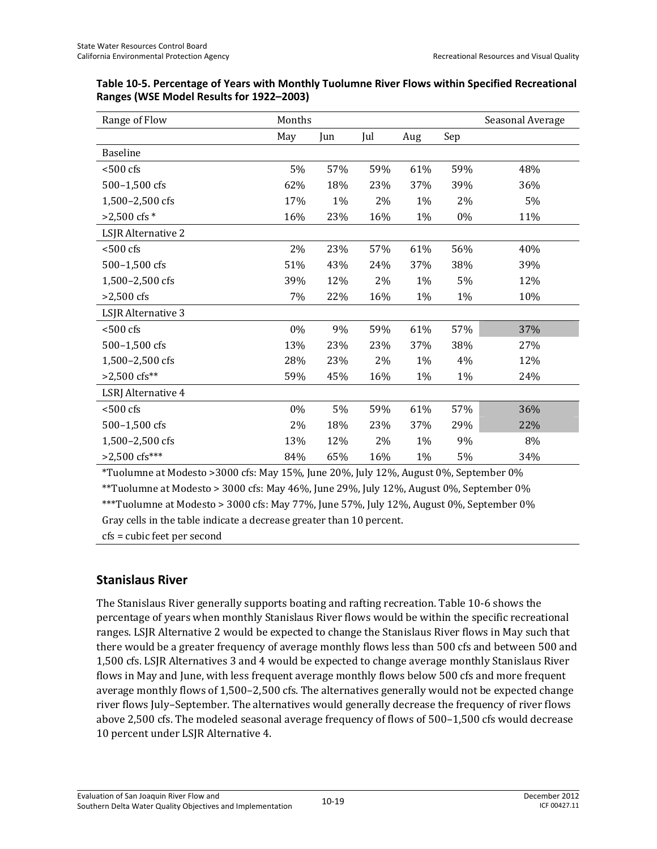| Range of Flow             | Months |     |     |     |     | Seasonal Average |
|---------------------------|--------|-----|-----|-----|-----|------------------|
|                           | May    | Jun | Jul | Aug | Sep |                  |
| <b>Baseline</b>           |        |     |     |     |     |                  |
| $< 500$ cfs               | 5%     | 57% | 59% | 61% | 59% | 48%              |
| 500-1,500 cfs             | 62%    | 18% | 23% | 37% | 39% | 36%              |
| 1,500-2,500 cfs           | 17%    | 1%  | 2%  | 1%  | 2%  | 5%               |
| $>2,500$ cfs $*$          | 16%    | 23% | 16% | 1%  | 0%  | 11%              |
| LSJR Alternative 2        |        |     |     |     |     |                  |
| $< 500$ cfs               | 2%     | 23% | 57% | 61% | 56% | 40%              |
| 500-1,500 cfs             | 51%    | 43% | 24% | 37% | 38% | 39%              |
| 1,500-2,500 cfs           | 39%    | 12% | 2%  | 1%  | 5%  | 12%              |
| $>2,500$ cfs              | 7%     | 22% | 16% | 1%  | 1%  | 10%              |
| LSJR Alternative 3        |        |     |     |     |     |                  |
| $< 500$ cfs               | 0%     | 9%  | 59% | 61% | 57% | 37%              |
| 500-1,500 cfs             | 13%    | 23% | 23% | 37% | 38% | 27%              |
| 1,500-2,500 cfs           | 28%    | 23% | 2%  | 1%  | 4%  | 12%              |
| $>2,500$ cfs**            | 59%    | 45% | 16% | 1%  | 1%  | 24%              |
| <b>LSRJ</b> Alternative 4 |        |     |     |     |     |                  |
| $< 500$ cfs               | $0\%$  | 5%  | 59% | 61% | 57% | 36%              |
| 500-1,500 cfs             | 2%     | 18% | 23% | 37% | 29% | 22%              |
| 1,500-2,500 cfs           | 13%    | 12% | 2%  | 1%  | 9%  | 8%               |
| $>2,500$ cfs***           | 84%    | 65% | 16% | 1%  | 5%  | 34%              |

| Table 10-5. Percentage of Years with Monthly Tuolumne River Flows within Specified Recreational |  |
|-------------------------------------------------------------------------------------------------|--|
| Ranges (WSE Model Results for 1922–2003)                                                        |  |

\*Tuolumne at Modesto >3000 cfs: May 15%, June 20%, July 12%, August 0%, September 0% \*\*Tuolumne at Modesto > 3000 cfs: May 46%, June 29%, July 12%, August 0%, September 0%

\*\*\*Tuolumne at Modesto > 3000 cfs: May 77%, June 57%, July 12%, August 0%, September 0%

Gray cells in the table indicate a decrease greater than 10 percent.

cfs = cubic feet per second

#### **Stanislaus River**

The Stanislaus River generally supports boating and rafting recreation. Table 10-6 shows the percentage of years when monthly Stanislaus River flows would be within the specific recreational ranges. LSJR Alternative 2 would be expected to change the Stanislaus River flows in May such that there would be a greater frequency of average monthly flows less than 500 cfs and between 500 and 1,500 cfs. LSJR Alternatives 3 and 4 would be expected to change average monthly Stanislaus River flows in May and June, with less frequent average monthly flows below 500 cfs and more frequent average monthly flows of 1,500–2,500 cfs. The alternatives generally would not be expected change river flows July–September. The alternatives would generally decrease the frequency of river flows above 2,500 cfs. The modeled seasonal average frequency of flows of 500–1,500 cfs would decrease 10 percent under LSJR Alternative 4.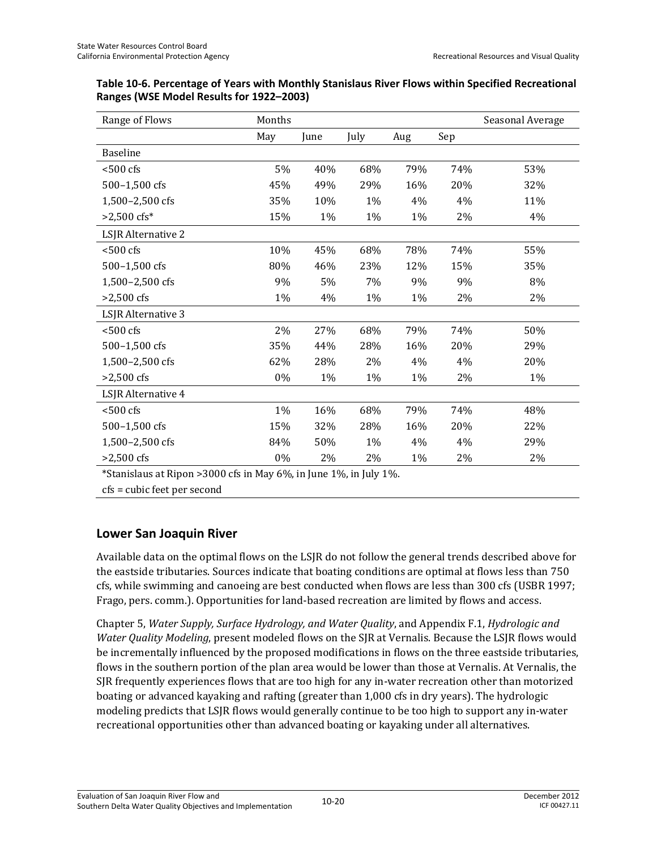| Range of Flows      | Months |       |      |     |     | Seasonal Average |
|---------------------|--------|-------|------|-----|-----|------------------|
|                     | May    | June  | July | Aug | Sep |                  |
| <b>Baseline</b>     |        |       |      |     |     |                  |
| $< 500 \text{ cfs}$ | 5%     | 40%   | 68%  | 79% | 74% | 53%              |
| 500-1,500 cfs       | 45%    | 49%   | 29%  | 16% | 20% | 32%              |
| 1,500-2,500 cfs     | 35%    | 10%   | 1%   | 4%  | 4%  | 11%              |
| $>2,500$ cfs*       | 15%    | $1\%$ | 1%   | 1%  | 2%  | 4%               |
| LSJR Alternative 2  |        |       |      |     |     |                  |
| $<$ 500 cfs         | 10%    | 45%   | 68%  | 78% | 74% | 55%              |
| 500-1,500 cfs       | 80%    | 46%   | 23%  | 12% | 15% | 35%              |
| 1,500-2,500 cfs     | 9%     | 5%    | 7%   | 9%  | 9%  | 8%               |
| $>2,500$ cfs        | 1%     | 4%    | 1%   | 1%  | 2%  | 2%               |
| LSJR Alternative 3  |        |       |      |     |     |                  |
| $< 500$ cfs         | 2%     | 27%   | 68%  | 79% | 74% | 50%              |
| 500-1,500 cfs       | 35%    | 44%   | 28%  | 16% | 20% | 29%              |
| 1,500-2,500 cfs     | 62%    | 28%   | 2%   | 4%  | 4%  | 20%              |
| $>2,500$ cfs        | 0%     | 1%    | 1%   | 1%  | 2%  | 1%               |
| LSJR Alternative 4  |        |       |      |     |     |                  |
| $< 500 \text{ cfs}$ | 1%     | 16%   | 68%  | 79% | 74% | 48%              |
| 500-1,500 cfs       | 15%    | 32%   | 28%  | 16% | 20% | 22%              |
| 1,500-2,500 cfs     | 84%    | 50%   | 1%   | 4%  | 4%  | 29%              |
| $>2,500$ cfs        | 0%     | 2%    | 2%   | 1%  | 2%  | 2%               |

| Table 10-6. Percentage of Years with Monthly Stanislaus River Flows within Specified Recreational |
|---------------------------------------------------------------------------------------------------|
| Ranges (WSE Model Results for 1922–2003)                                                          |

\*Stanislaus at Ripon >3000 cfs in May 6%, in June 1%, in July 1%.

cfs = cubic feet per second

#### **Lower San Joaquin River**

Available data on the optimal flows on the LSJR do not follow the general trends described above for the eastside tributaries. Sources indicate that boating conditions are optimal at flows less than 750 cfs, while swimming and canoeing are best conducted when flows are less than 300 cfs (USBR 1997; Frago, pers. comm.). Opportunities for land-based recreation are limited by flows and access.

Chapter 5, *Water Supply, Surface Hydrology, and Water Quality*, and Appendix F.1, *Hydrologic and Water Quality Modeling*, present modeled flows on the SJR at Vernalis. Because the LSJR flows would be incrementally influenced by the proposed modifications in flows on the three eastside tributaries, flows in the southern portion of the plan area would be lower than those at Vernalis. At Vernalis, the SJR frequently experiences flows that are too high for any in-water recreation other than motorized boating or advanced kayaking and rafting (greater than 1,000 cfs in dry years). The hydrologic modeling predicts that LSJR flows would generally continue to be too high to support any in-water recreational opportunities other than advanced boating or kayaking under all alternatives.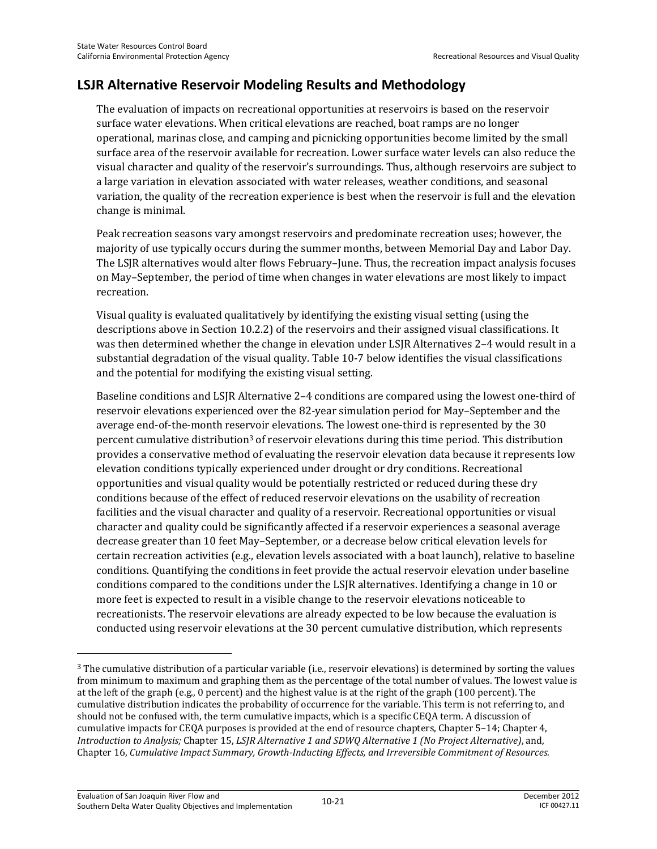## **LSJR Alternative Reservoir Modeling Results and Methodology**

The evaluation of impacts on recreational opportunities at reservoirs is based on the reservoir surface water elevations. When critical elevations are reached, boat ramps are no longer operational, marinas close, and camping and picnicking opportunities become limited by the small surface area of the reservoir available for recreation. Lower surface water levels can also reduce the visual character and quality of the reservoir's surroundings. Thus, although reservoirs are subject to a large variation in elevation associated with water releases, weather conditions, and seasonal variation, the quality of the recreation experience is best when the reservoir is full and the elevation change is minimal.

Peak recreation seasons vary amongst reservoirs and predominate recreation uses; however, the majority of use typically occurs during the summer months, between Memorial Day and Labor Day. The LSJR alternatives would alter flows February–June. Thus, the recreation impact analysis focuses on May–September, the period of time when changes in water elevations are most likely to impact recreation.

Visual quality is evaluated qualitatively by identifying the existing visual setting (using the descriptions above in Section 10.2.2) of the reservoirs and their assigned visual classifications. It was then determined whether the change in elevation under LSJR Alternatives 2–4 would result in a substantial degradation of the visual quality. Table 10-7 below identifies the visual classifications and the potential for modifying the existing visual setting.

Baseline conditions and LSJR Alternative 2–4 conditions are compared using the lowest one-third of reservoir elevations experienced over the 82-year simulation period for May–September and the average end-of-the-month reservoir elevations. The lowest one-third is represented by the 30 percent cumulative distribution<sup>3</sup> of reservoir elevations during this time period. This distribution provides a conservative method of evaluating the reservoir elevation data because it represents low elevation conditions typically experienced under drought or dry conditions. Recreational opportunities and visual quality would be potentially restricted or reduced during these dry conditions because of the effect of reduced reservoir elevations on the usability of recreation facilities and the visual character and quality of a reservoir. Recreational opportunities or visual character and quality could be significantly affected if a reservoir experiences a seasonal average decrease greater than 10 feet May–September, or a decrease below critical elevation levels for certain recreation activities (e.g., elevation levels associated with a boat launch), relative to baseline conditions. Quantifying the conditions in feet provide the actual reservoir elevation under baseline conditions compared to the conditions under the LSJR alternatives. Identifying a change in 10 or more feet is expected to result in a visible change to the reservoir elevations noticeable to recreationists. The reservoir elevations are already expected to be low because the evaluation is conducted using reservoir elevations at the 30 percent cumulative distribution, which represents

 $\overline{\phantom{0}}$ 

<sup>3</sup> The cumulative distribution of a particular variable (i.e., reservoir elevations) is determined by sorting the values from minimum to maximum and graphing them as the percentage of the total number of values. The lowest value is at the left of the graph (e.g., 0 percent) and the highest value is at the right of the graph (100 percent). The cumulative distribution indicates the probability of occurrence for the variable. This term is not referring to, and should not be confused with, the term cumulative impacts, which is a specific CEQA term. A discussion of cumulative impacts for CEQA purposes is provided at the end of resource chapters, Chapter 5–14; Chapter 4, *Introduction to Analysis;* Chapter 15, *LSJR Alternative 1 and SDWQ Alternative 1 (No Project Alternative)*, and, Chapter 16, *Cumulative Impact Summary, Growth-Inducting Effects, and Irreversible Commitment of Resources.*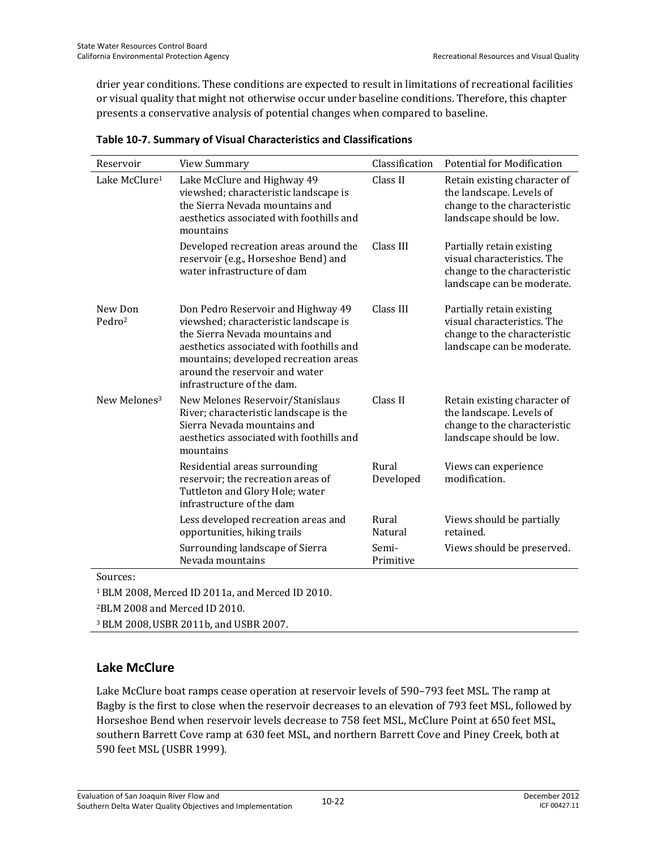drier year conditions. These conditions are expected to result in limitations of recreational facilities or visual quality that might not otherwise occur under baseline conditions. Therefore, this chapter presents a conservative analysis of potential changes when compared to baseline.

| Reservoir                     | <b>View Summary</b>                                                                                                                                                                                                                                                 | Classification     | <b>Potential for Modification</b>                                                                                      |
|-------------------------------|---------------------------------------------------------------------------------------------------------------------------------------------------------------------------------------------------------------------------------------------------------------------|--------------------|------------------------------------------------------------------------------------------------------------------------|
| Lake McClure <sup>1</sup>     | Lake McClure and Highway 49<br>viewshed; characteristic landscape is<br>the Sierra Nevada mountains and<br>aesthetics associated with foothills and<br>mountains                                                                                                    | Class II           | Retain existing character of<br>the landscape. Levels of<br>change to the characteristic<br>landscape should be low.   |
|                               | Developed recreation areas around the<br>reservoir (e.g., Horseshoe Bend) and<br>water infrastructure of dam                                                                                                                                                        | Class III          | Partially retain existing<br>visual characteristics. The<br>change to the characteristic<br>landscape can be moderate. |
| New Don<br>Pedro <sup>2</sup> | Don Pedro Reservoir and Highway 49<br>viewshed; characteristic landscape is<br>the Sierra Nevada mountains and<br>aesthetics associated with foothills and<br>mountains; developed recreation areas<br>around the reservoir and water<br>infrastructure of the dam. | Class III          | Partially retain existing<br>visual characteristics. The<br>change to the characteristic<br>landscape can be moderate. |
| New Melones <sup>3</sup>      | New Melones Reservoir/Stanislaus<br>River; characteristic landscape is the<br>Sierra Nevada mountains and<br>aesthetics associated with foothills and<br>mountains                                                                                                  | Class II           | Retain existing character of<br>the landscape. Levels of<br>change to the characteristic<br>landscape should be low.   |
|                               | Residential areas surrounding<br>reservoir; the recreation areas of<br>Tuttleton and Glory Hole; water<br>infrastructure of the dam                                                                                                                                 | Rural<br>Developed | Views can experience<br>modification.                                                                                  |
|                               | Less developed recreation areas and<br>opportunities, hiking trails                                                                                                                                                                                                 | Rural<br>Natural   | Views should be partially<br>retained.                                                                                 |
|                               | Surrounding landscape of Sierra<br>Nevada mountains                                                                                                                                                                                                                 | Semi-<br>Primitive | Views should be preserved.                                                                                             |

Sources:

1 BLM 2008, Merced ID 2011a, and Merced ID 2010.

2BLM 2008 and Merced ID 2010.

3 BLM 2008,USBR 2011b, and USBR 2007.

#### **Lake McClure**

Lake McClure boat ramps cease operation at reservoir levels of 590–793 feet MSL. The ramp at Bagby is the first to close when the reservoir decreases to an elevation of 793 feet MSL, followed by Horseshoe Bend when reservoir levels decrease to 758 feet MSL, McClure Point at 650 feet MSL, southern Barrett Cove ramp at 630 feet MSL, and northern Barrett Cove and Piney Creek, both at 590 feet MSL (USBR 1999).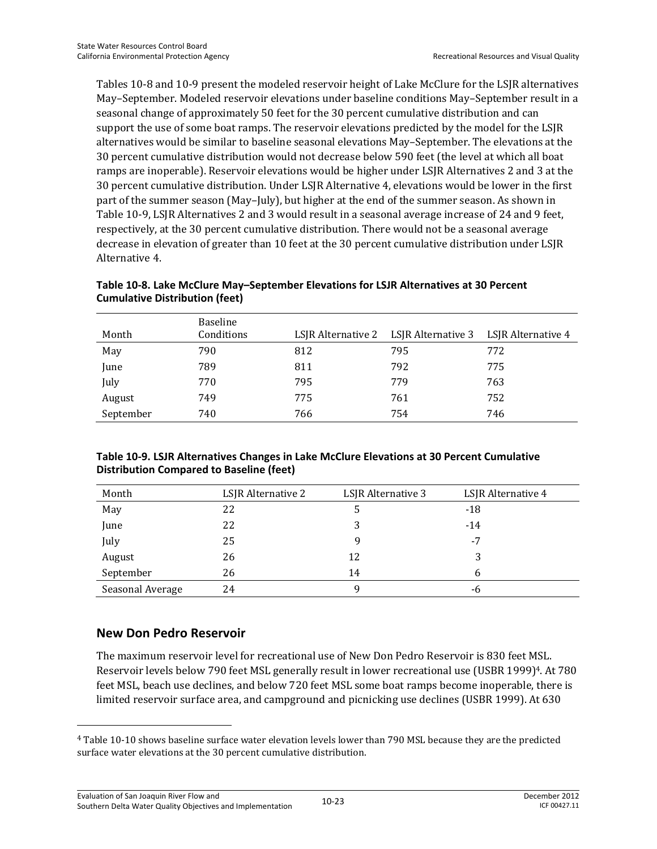Tables 10-8 and 10-9 present the modeled reservoir height of Lake McClure for the LSJR alternatives May–September. Modeled reservoir elevations under baseline conditions May–September result in a seasonal change of approximately 50 feet for the 30 percent cumulative distribution and can support the use of some boat ramps. The reservoir elevations predicted by the model for the LSJR alternatives would be similar to baseline seasonal elevations May–September. The elevations at the 30 percent cumulative distribution would not decrease below 590 feet (the level at which all boat ramps are inoperable). Reservoir elevations would be higher under LSJR Alternatives 2 and 3 at the 30 percent cumulative distribution. Under LSJR Alternative 4, elevations would be lower in the first part of the summer season (May–July), but higher at the end of the summer season. As shown in Table 10-9, LSJR Alternatives 2 and 3 would result in a seasonal average increase of 24 and 9 feet, respectively, at the 30 percent cumulative distribution. There would not be a seasonal average decrease in elevation of greater than 10 feet at the 30 percent cumulative distribution under LSJR Alternative 4.

| Month     | Baseline<br>Conditions |     | LSJR Alternative 2 LSJR Alternative 3 | LSJR Alternative 4 |
|-----------|------------------------|-----|---------------------------------------|--------------------|
| May       | 790                    | 812 | 795                                   | 772                |
| June      | 789                    | 811 | 792                                   | 775                |
| July      | 770                    | 795 | 779                                   | 763                |
| August    | 749                    | 775 | 761                                   | 752                |
| September | 740                    | 766 | 754                                   | 746                |

#### **Table 10-8. Lake McClure May–September Elevations for LSJR Alternatives at 30 Percent Cumulative Distribution (feet)**

| Table 10-9. LSJR Alternatives Changes in Lake McClure Elevations at 30 Percent Cumulative |
|-------------------------------------------------------------------------------------------|
| <b>Distribution Compared to Baseline (feet)</b>                                           |

| Month            | LSJR Alternative 2 | LSJR Alternative 3 | LSJR Alternative 4 |
|------------------|--------------------|--------------------|--------------------|
| May              | 22                 | C                  | -18                |
| June             | 22                 | 3                  | $-14$              |
| July             | 25                 | q                  | -7                 |
| August           | 26                 | 12                 |                    |
| September        | 26                 | 14                 | h                  |
| Seasonal Average | 24                 |                    | -6                 |

#### **New Don Pedro Reservoir**

 $\overline{\phantom{0}}$ 

The maximum reservoir level for recreational use of New Don Pedro Reservoir is 830 feet MSL. Reservoir levels below 790 feet MSL generally result in lower recreational use (USBR 1999)<sup>4</sup>. At 780 feet MSL, beach use declines, and below 720 feet MSL some boat ramps become inoperable, there is limited reservoir surface area, and campground and picnicking use declines (USBR 1999). At 630

<sup>4</sup> Table 10-10 shows baseline surface water elevation levels lower than 790 MSL because they are the predicted surface water elevations at the 30 percent cumulative distribution.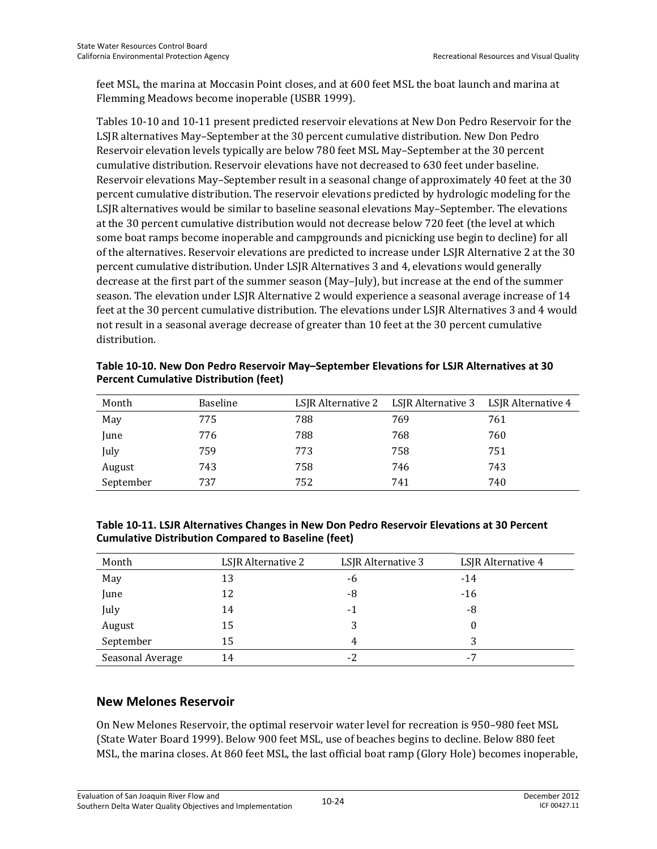feet MSL, the marina at Moccasin Point closes, and at 600 feet MSL the boat launch and marina at Flemming Meadows become inoperable (USBR 1999).

Tables 10-10 and 10-11 present predicted reservoir elevations at New Don Pedro Reservoir for the LSJR alternatives May–September at the 30 percent cumulative distribution. New Don Pedro Reservoir elevation levels typically are below 780 feet MSL May–September at the 30 percent cumulative distribution. Reservoir elevations have not decreased to 630 feet under baseline. Reservoir elevations May–September result in a seasonal change of approximately 40 feet at the 30 percent cumulative distribution. The reservoir elevations predicted by hydrologic modeling for the LSJR alternatives would be similar to baseline seasonal elevations May–September. The elevations at the 30 percent cumulative distribution would not decrease below 720 feet (the level at which some boat ramps become inoperable and campgrounds and picnicking use begin to decline) for all of the alternatives. Reservoir elevations are predicted to increase under LSJR Alternative 2 at the 30 percent cumulative distribution. Under LSJR Alternatives 3 and 4, elevations would generally decrease at the first part of the summer season (May–July), but increase at the end of the summer season. The elevation under LSJR Alternative 2 would experience a seasonal average increase of 14 feet at the 30 percent cumulative distribution. The elevations under LSJR Alternatives 3 and 4 would not result in a seasonal average decrease of greater than 10 feet at the 30 percent cumulative distribution.

| Month     | <b>Baseline</b> |     | LSJR Alternative 2 LSJR Alternative 3 | LSIR Alternative 4 |
|-----------|-----------------|-----|---------------------------------------|--------------------|
| May       | 775             | 788 | 769                                   | 761                |
| June      | 776             | 788 | 768                                   | 760                |
| July      | 759             | 773 | 758                                   | 751                |
| August    | 743             | 758 | 746                                   | 743                |
| September | 737             | 752 | 741                                   | 740                |

**Table 10-10. New Don Pedro Reservoir May–September Elevations for LSJR Alternatives at 30 Percent Cumulative Distribution (feet)** 

| Table 10-11. LSJR Alternatives Changes in New Don Pedro Reservoir Elevations at 30 Percent |  |
|--------------------------------------------------------------------------------------------|--|
| <b>Cumulative Distribution Compared to Baseline (feet)</b>                                 |  |

| Month            | LSJR Alternative 2 | LSJR Alternative 3 | LSJR Alternative 4 |
|------------------|--------------------|--------------------|--------------------|
| May              | 13                 | -6                 | $-14$              |
| June             | 12                 | -8                 | $-16$              |
| July             | 14                 | $-1$               | -8                 |
| August           | 15                 | 3                  | 0                  |
| September        | 15                 | 4                  |                    |
| Seasonal Average | 14                 | $-2$               | -7                 |

#### **New Melones Reservoir**

On New Melones Reservoir, the optimal reservoir water level for recreation is 950–980 feet MSL (State Water Board 1999). Below 900 feet MSL, use of beaches begins to decline. Below 880 feet MSL, the marina closes. At 860 feet MSL, the last official boat ramp (Glory Hole) becomes inoperable,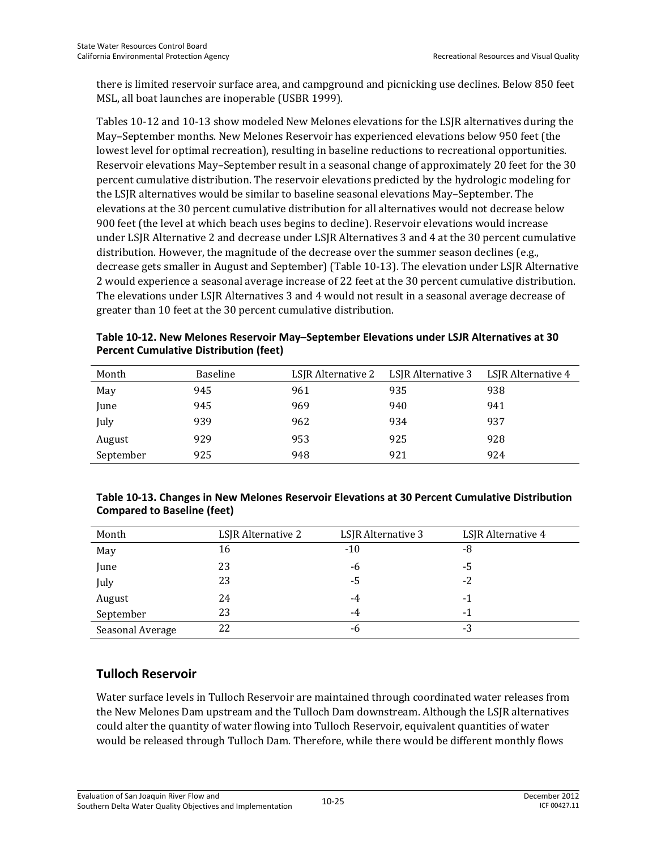there is limited reservoir surface area, and campground and picnicking use declines. Below 850 feet MSL, all boat launches are inoperable (USBR 1999).

Tables 10-12 and 10-13 show modeled New Melones elevations for the LSJR alternatives during the May–September months. New Melones Reservoir has experienced elevations below 950 feet (the lowest level for optimal recreation), resulting in baseline reductions to recreational opportunities. Reservoir elevations May–September result in a seasonal change of approximately 20 feet for the 30 percent cumulative distribution. The reservoir elevations predicted by the hydrologic modeling for the LSJR alternatives would be similar to baseline seasonal elevations May–September. The elevations at the 30 percent cumulative distribution for all alternatives would not decrease below 900 feet (the level at which beach uses begins to decline). Reservoir elevations would increase under LSJR Alternative 2 and decrease under LSJR Alternatives 3 and 4 at the 30 percent cumulative distribution. However, the magnitude of the decrease over the summer season declines (e.g., decrease gets smaller in August and September) (Table 10-13). The elevation under LSJR Alternative 2 would experience a seasonal average increase of 22 feet at the 30 percent cumulative distribution. The elevations under LSJR Alternatives 3 and 4 would not result in a seasonal average decrease of greater than 10 feet at the 30 percent cumulative distribution.

**Table 10-12. New Melones Reservoir May–September Elevations under LSJR Alternatives at 30 Percent Cumulative Distribution (feet)** 

| Month     | <b>Baseline</b> | LSJR Alternative 2 | LSJR Alternative 3 | LSJR Alternative 4 |
|-----------|-----------------|--------------------|--------------------|--------------------|
| May       | 945             | 961                | 935                | 938                |
| June      | 945             | 969                | 940                | 941                |
| July      | 939             | 962                | 934                | 937                |
| August    | 929             | 953                | 925                | 928                |
| September | 925             | 948                | 921                | 924                |

#### **Table 10-13. Changes in New Melones Reservoir Elevations at 30 Percent Cumulative Distribution Compared to Baseline (feet)**

| Month            | LSJR Alternative 2 | LSJR Alternative 3 | LSJR Alternative 4 |
|------------------|--------------------|--------------------|--------------------|
| May              | 16                 | $-10$              | -8                 |
| June             | 23                 | -6                 | -5                 |
| July             | 23                 | -5                 | -2                 |
| August           | 24                 | -4                 | -1                 |
| September        | 23                 | -4                 | -1                 |
| Seasonal Average | 22                 | -6                 | -3                 |

#### **Tulloch Reservoir**

Water surface levels in Tulloch Reservoir are maintained through coordinated water releases from the New Melones Dam upstream and the Tulloch Dam downstream. Although the LSJR alternatives could alter the quantity of water flowing into Tulloch Reservoir, equivalent quantities of water would be released through Tulloch Dam. Therefore, while there would be different monthly flows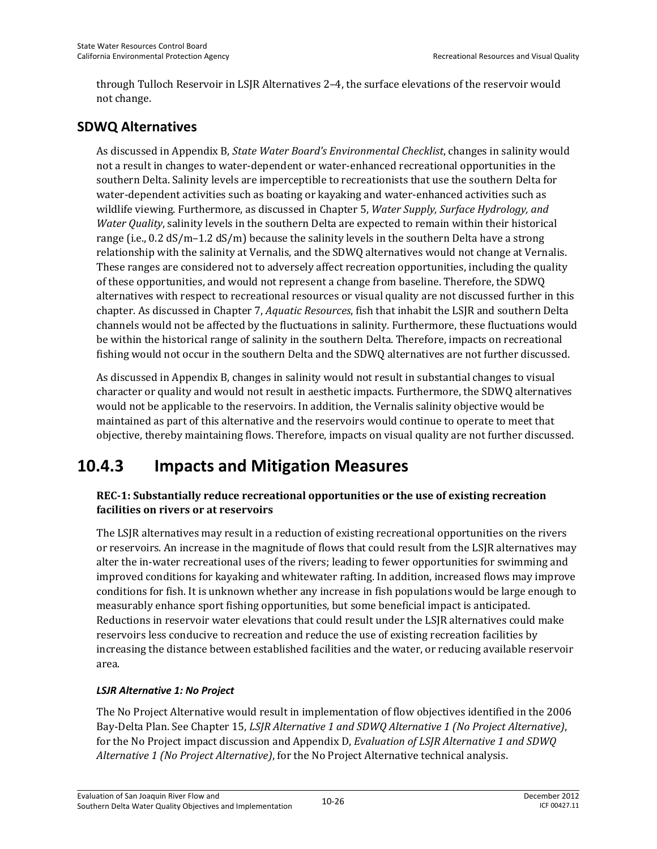through Tulloch Reservoir in LSJR Alternatives 2–4, the surface elevations of the reservoir would not change.

### **SDWQ Alternatives**

As discussed in Appendix B, *State Water Board's Environmental Checklist*, changes in salinity would not a result in changes to water-dependent or water-enhanced recreational opportunities in the southern Delta. Salinity levels are imperceptible to recreationists that use the southern Delta for water-dependent activities such as boating or kayaking and water-enhanced activities such as wildlife viewing. Furthermore, as discussed in Chapter 5, *Water Supply, Surface Hydrology, and Water Quality*, salinity levels in the southern Delta are expected to remain within their historical range (i.e., 0.2 dS/m–1.2 dS/m) because the salinity levels in the southern Delta have a strong relationship with the salinity at Vernalis, and the SDWQ alternatives would not change at Vernalis. These ranges are considered not to adversely affect recreation opportunities, including the quality of these opportunities, and would not represent a change from baseline. Therefore, the SDWQ alternatives with respect to recreational resources or visual quality are not discussed further in this chapter. As discussed in Chapter 7, *Aquatic Resources*, fish that inhabit the LSJR and southern Delta channels would not be affected by the fluctuations in salinity. Furthermore, these fluctuations would be within the historical range of salinity in the southern Delta. Therefore, impacts on recreational fishing would not occur in the southern Delta and the SDWQ alternatives are not further discussed.

As discussed in Appendix B, changes in salinity would not result in substantial changes to visual character or quality and would not result in aesthetic impacts. Furthermore, the SDWQ alternatives would not be applicable to the reservoirs. In addition, the Vernalis salinity objective would be maintained as part of this alternative and the reservoirs would continue to operate to meet that objective, thereby maintaining flows. Therefore, impacts on visual quality are not further discussed.

# **10.4.3 Impacts and Mitigation Measures**

#### **REC-1: Substantially reduce recreational opportunities or the use of existing recreation facilities on rivers or at reservoirs**

The LSJR alternatives may result in a reduction of existing recreational opportunities on the rivers or reservoirs. An increase in the magnitude of flows that could result from the LSJR alternatives may alter the in-water recreational uses of the rivers; leading to fewer opportunities for swimming and improved conditions for kayaking and whitewater rafting. In addition, increased flows may improve conditions for fish. It is unknown whether any increase in fish populations would be large enough to measurably enhance sport fishing opportunities, but some beneficial impact is anticipated. Reductions in reservoir water elevations that could result under the LSJR alternatives could make reservoirs less conducive to recreation and reduce the use of existing recreation facilities by increasing the distance between established facilities and the water, or reducing available reservoir area.

#### *LSJR Alternative 1: No Project*

The No Project Alternative would result in implementation of flow objectives identified in the 2006 Bay-Delta Plan. See Chapter 15, *LSJR Alternative 1 and SDWQ Alternative 1 (No Project Alternative)*, for the No Project impact discussion and Appendix D, *Evaluation of LSJR Alternative 1 and SDWQ Alternative 1 (No Project Alternative)*, for the No Project Alternative technical analysis.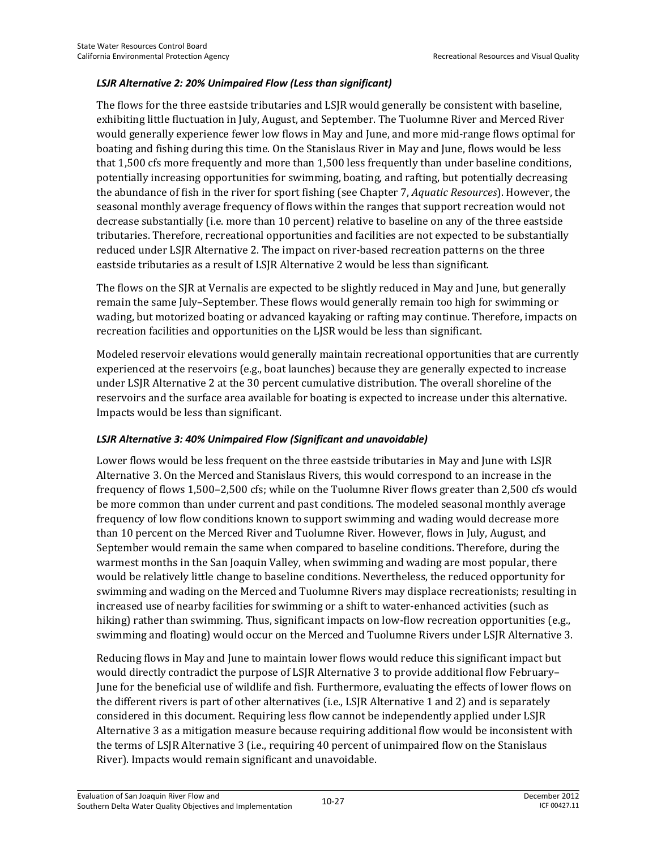#### *LSJR Alternative 2: 20% Unimpaired Flow (Less than significant)*

The flows for the three eastside tributaries and LSJR would generally be consistent with baseline, exhibiting little fluctuation in July, August, and September. The Tuolumne River and Merced River would generally experience fewer low flows in May and June, and more mid-range flows optimal for boating and fishing during this time. On the Stanislaus River in May and June, flows would be less that 1,500 cfs more frequently and more than 1,500 less frequently than under baseline conditions, potentially increasing opportunities for swimming, boating, and rafting, but potentially decreasing the abundance of fish in the river for sport fishing (see Chapter 7, *Aquatic Resources*). However, the seasonal monthly average frequency of flows within the ranges that support recreation would not decrease substantially (i.e. more than 10 percent) relative to baseline on any of the three eastside tributaries. Therefore, recreational opportunities and facilities are not expected to be substantially reduced under LSJR Alternative 2. The impact on river-based recreation patterns on the three eastside tributaries as a result of LSJR Alternative 2 would be less than significant.

The flows on the SJR at Vernalis are expected to be slightly reduced in May and June, but generally remain the same July–September. These flows would generally remain too high for swimming or wading, but motorized boating or advanced kayaking or rafting may continue. Therefore, impacts on recreation facilities and opportunities on the LJSR would be less than significant.

Modeled reservoir elevations would generally maintain recreational opportunities that are currently experienced at the reservoirs (e.g., boat launches) because they are generally expected to increase under LSJR Alternative 2 at the 30 percent cumulative distribution. The overall shoreline of the reservoirs and the surface area available for boating is expected to increase under this alternative. Impacts would be less than significant.

#### *LSJR Alternative 3: 40% Unimpaired Flow (Significant and unavoidable)*

Lower flows would be less frequent on the three eastside tributaries in May and June with LSJR Alternative 3. On the Merced and Stanislaus Rivers, this would correspond to an increase in the frequency of flows 1,500–2,500 cfs; while on the Tuolumne River flows greater than 2,500 cfs would be more common than under current and past conditions. The modeled seasonal monthly average frequency of low flow conditions known to support swimming and wading would decrease more than 10 percent on the Merced River and Tuolumne River. However, flows in July, August, and September would remain the same when compared to baseline conditions. Therefore, during the warmest months in the San Joaquin Valley, when swimming and wading are most popular, there would be relatively little change to baseline conditions. Nevertheless, the reduced opportunity for swimming and wading on the Merced and Tuolumne Rivers may displace recreationists; resulting in increased use of nearby facilities for swimming or a shift to water-enhanced activities (such as hiking) rather than swimming. Thus, significant impacts on low-flow recreation opportunities (e.g., swimming and floating) would occur on the Merced and Tuolumne Rivers under LSJR Alternative 3.

Reducing flows in May and June to maintain lower flows would reduce this significant impact but would directly contradict the purpose of LSJR Alternative 3 to provide additional flow February– June for the beneficial use of wildlife and fish. Furthermore, evaluating the effects of lower flows on the different rivers is part of other alternatives (i.e., LSJR Alternative 1 and 2) and is separately considered in this document. Requiring less flow cannot be independently applied under LSJR Alternative 3 as a mitigation measure because requiring additional flow would be inconsistent with the terms of LSJR Alternative 3 (i.e., requiring 40 percent of unimpaired flow on the Stanislaus River). Impacts would remain significant and unavoidable.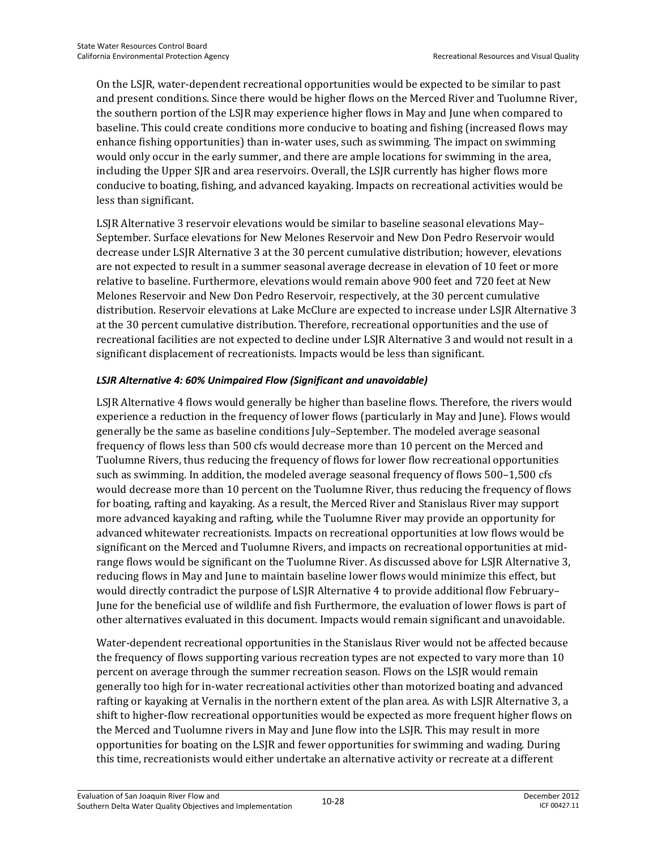On the LSJR, water-dependent recreational opportunities would be expected to be similar to past and present conditions. Since there would be higher flows on the Merced River and Tuolumne River, the southern portion of the LSJR may experience higher flows in May and June when compared to baseline. This could create conditions more conducive to boating and fishing (increased flows may enhance fishing opportunities) than in-water uses, such as swimming. The impact on swimming would only occur in the early summer, and there are ample locations for swimming in the area, including the Upper SJR and area reservoirs. Overall, the LSJR currently has higher flows more conducive to boating, fishing, and advanced kayaking. Impacts on recreational activities would be less than significant.

LSJR Alternative 3 reservoir elevations would be similar to baseline seasonal elevations May– September. Surface elevations for New Melones Reservoir and New Don Pedro Reservoir would decrease under LSJR Alternative 3 at the 30 percent cumulative distribution; however, elevations are not expected to result in a summer seasonal average decrease in elevation of 10 feet or more relative to baseline. Furthermore, elevations would remain above 900 feet and 720 feet at New Melones Reservoir and New Don Pedro Reservoir, respectively, at the 30 percent cumulative distribution. Reservoir elevations at Lake McClure are expected to increase under LSJR Alternative 3 at the 30 percent cumulative distribution. Therefore, recreational opportunities and the use of recreational facilities are not expected to decline under LSJR Alternative 3 and would not result in a significant displacement of recreationists. Impacts would be less than significant.

#### *LSJR Alternative 4: 60% Unimpaired Flow (Significant and unavoidable)*

LSJR Alternative 4 flows would generally be higher than baseline flows. Therefore, the rivers would experience a reduction in the frequency of lower flows (particularly in May and June). Flows would generally be the same as baseline conditions July–September. The modeled average seasonal frequency of flows less than 500 cfs would decrease more than 10 percent on the Merced and Tuolumne Rivers, thus reducing the frequency of flows for lower flow recreational opportunities such as swimming. In addition, the modeled average seasonal frequency of flows 500–1,500 cfs would decrease more than 10 percent on the Tuolumne River, thus reducing the frequency of flows for boating, rafting and kayaking. As a result, the Merced River and Stanislaus River may support more advanced kayaking and rafting, while the Tuolumne River may provide an opportunity for advanced whitewater recreationists. Impacts on recreational opportunities at low flows would be significant on the Merced and Tuolumne Rivers, and impacts on recreational opportunities at midrange flows would be significant on the Tuolumne River. As discussed above for LSJR Alternative 3, reducing flows in May and June to maintain baseline lower flows would minimize this effect, but would directly contradict the purpose of LSJR Alternative 4 to provide additional flow February– June for the beneficial use of wildlife and fish Furthermore, the evaluation of lower flows is part of other alternatives evaluated in this document. Impacts would remain significant and unavoidable.

Water-dependent recreational opportunities in the Stanislaus River would not be affected because the frequency of flows supporting various recreation types are not expected to vary more than 10 percent on average through the summer recreation season. Flows on the LSJR would remain generally too high for in-water recreational activities other than motorized boating and advanced rafting or kayaking at Vernalis in the northern extent of the plan area. As with LSJR Alternative 3, a shift to higher-flow recreational opportunities would be expected as more frequent higher flows on the Merced and Tuolumne rivers in May and June flow into the LSJR. This may result in more opportunities for boating on the LSJR and fewer opportunities for swimming and wading. During this time, recreationists would either undertake an alternative activity or recreate at a different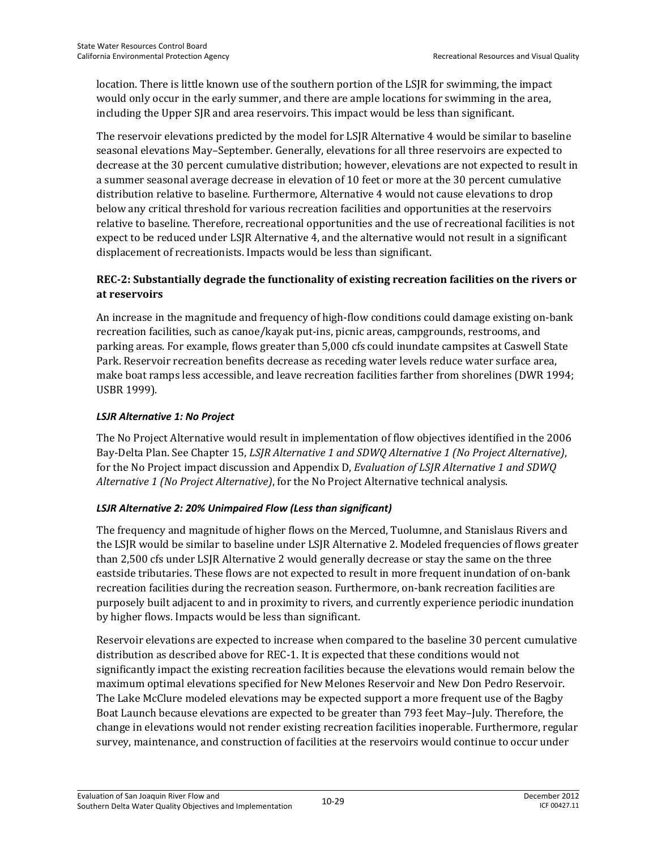location. There is little known use of the southern portion of the LSJR for swimming, the impact would only occur in the early summer, and there are ample locations for swimming in the area, including the Upper SJR and area reservoirs. This impact would be less than significant.

The reservoir elevations predicted by the model for LSJR Alternative 4 would be similar to baseline seasonal elevations May–September. Generally, elevations for all three reservoirs are expected to decrease at the 30 percent cumulative distribution; however, elevations are not expected to result in a summer seasonal average decrease in elevation of 10 feet or more at the 30 percent cumulative distribution relative to baseline. Furthermore, Alternative 4 would not cause elevations to drop below any critical threshold for various recreation facilities and opportunities at the reservoirs relative to baseline. Therefore, recreational opportunities and the use of recreational facilities is not expect to be reduced under LSJR Alternative 4, and the alternative would not result in a significant displacement of recreationists. Impacts would be less than significant.

#### **REC-2: Substantially degrade the functionality of existing recreation facilities on the rivers or at reservoirs**

An increase in the magnitude and frequency of high-flow conditions could damage existing on-bank recreation facilities, such as canoe/kayak put-ins, picnic areas, campgrounds, restrooms, and parking areas. For example, flows greater than 5,000 cfs could inundate campsites at Caswell State Park. Reservoir recreation benefits decrease as receding water levels reduce water surface area, make boat ramps less accessible, and leave recreation facilities farther from shorelines (DWR 1994; USBR 1999).

#### *LSJR Alternative 1: No Project*

The No Project Alternative would result in implementation of flow objectives identified in the 2006 Bay-Delta Plan. See Chapter 15, *LSJR Alternative 1 and SDWQ Alternative 1 (No Project Alternative)*, for the No Project impact discussion and Appendix D, *Evaluation of LSJR Alternative 1 and SDWQ Alternative 1 (No Project Alternative)*, for the No Project Alternative technical analysis.

#### *LSJR Alternative 2: 20% Unimpaired Flow (Less than significant)*

The frequency and magnitude of higher flows on the Merced, Tuolumne, and Stanislaus Rivers and the LSJR would be similar to baseline under LSJR Alternative 2. Modeled frequencies of flows greater than 2,500 cfs under LSJR Alternative 2 would generally decrease or stay the same on the three eastside tributaries. These flows are not expected to result in more frequent inundation of on-bank recreation facilities during the recreation season. Furthermore, on-bank recreation facilities are purposely built adjacent to and in proximity to rivers, and currently experience periodic inundation by higher flows. Impacts would be less than significant.

Reservoir elevations are expected to increase when compared to the baseline 30 percent cumulative distribution as described above for REC-1. It is expected that these conditions would not significantly impact the existing recreation facilities because the elevations would remain below the maximum optimal elevations specified for New Melones Reservoir and New Don Pedro Reservoir. The Lake McClure modeled elevations may be expected support a more frequent use of the Bagby Boat Launch because elevations are expected to be greater than 793 feet May–July. Therefore, the change in elevations would not render existing recreation facilities inoperable. Furthermore, regular survey, maintenance, and construction of facilities at the reservoirs would continue to occur under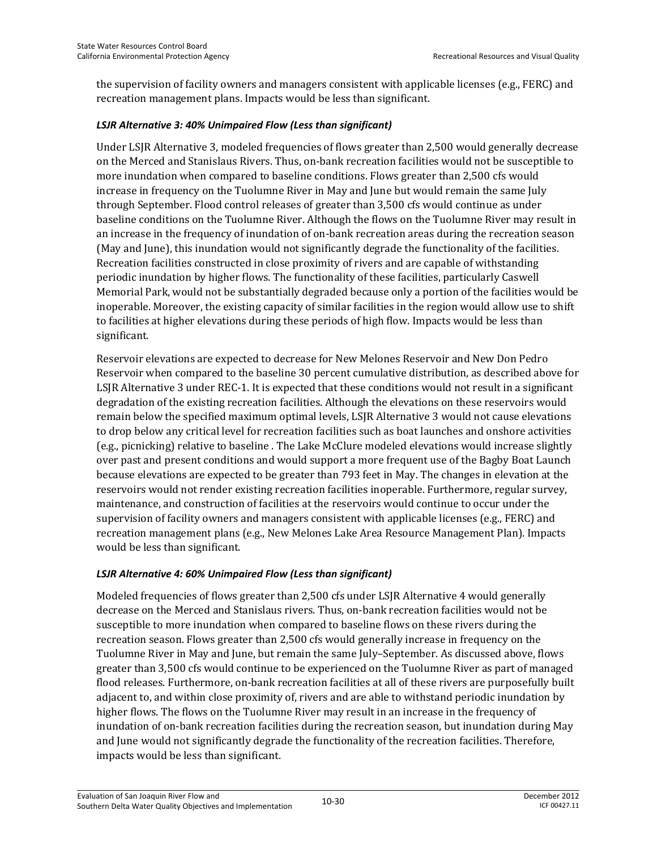the supervision of facility owners and managers consistent with applicable licenses (e.g., FERC) and recreation management plans. Impacts would be less than significant.

#### *LSJR Alternative 3: 40% Unimpaired Flow (Less than significant)*

Under LSJR Alternative 3, modeled frequencies of flows greater than 2,500 would generally decrease on the Merced and Stanislaus Rivers. Thus, on-bank recreation facilities would not be susceptible to more inundation when compared to baseline conditions. Flows greater than 2,500 cfs would increase in frequency on the Tuolumne River in May and June but would remain the same July through September. Flood control releases of greater than 3,500 cfs would continue as under baseline conditions on the Tuolumne River. Although the flows on the Tuolumne River may result in an increase in the frequency of inundation of on-bank recreation areas during the recreation season (May and June), this inundation would not significantly degrade the functionality of the facilities. Recreation facilities constructed in close proximity of rivers and are capable of withstanding periodic inundation by higher flows. The functionality of these facilities, particularly Caswell Memorial Park, would not be substantially degraded because only a portion of the facilities would be inoperable. Moreover, the existing capacity of similar facilities in the region would allow use to shift to facilities at higher elevations during these periods of high flow. Impacts would be less than significant.

Reservoir elevations are expected to decrease for New Melones Reservoir and New Don Pedro Reservoir when compared to the baseline 30 percent cumulative distribution, as described above for LSJR Alternative 3 under REC-1. It is expected that these conditions would not result in a significant degradation of the existing recreation facilities. Although the elevations on these reservoirs would remain below the specified maximum optimal levels, LSJR Alternative 3 would not cause elevations to drop below any critical level for recreation facilities such as boat launches and onshore activities (e.g., picnicking) relative to baseline . The Lake McClure modeled elevations would increase slightly over past and present conditions and would support a more frequent use of the Bagby Boat Launch because elevations are expected to be greater than 793 feet in May. The changes in elevation at the reservoirs would not render existing recreation facilities inoperable. Furthermore, regular survey, maintenance, and construction of facilities at the reservoirs would continue to occur under the supervision of facility owners and managers consistent with applicable licenses (e.g., FERC) and recreation management plans (e.g., New Melones Lake Area Resource Management Plan). Impacts would be less than significant.

#### *LSJR Alternative 4: 60% Unimpaired Flow (Less than significant)*

Modeled frequencies of flows greater than 2,500 cfs under LSJR Alternative 4 would generally decrease on the Merced and Stanislaus rivers. Thus, on-bank recreation facilities would not be susceptible to more inundation when compared to baseline flows on these rivers during the recreation season. Flows greater than 2,500 cfs would generally increase in frequency on the Tuolumne River in May and June, but remain the same July–September. As discussed above, flows greater than 3,500 cfs would continue to be experienced on the Tuolumne River as part of managed flood releases. Furthermore, on-bank recreation facilities at all of these rivers are purposefully built adjacent to, and within close proximity of, rivers and are able to withstand periodic inundation by higher flows. The flows on the Tuolumne River may result in an increase in the frequency of inundation of on-bank recreation facilities during the recreation season, but inundation during May and June would not significantly degrade the functionality of the recreation facilities. Therefore, impacts would be less than significant.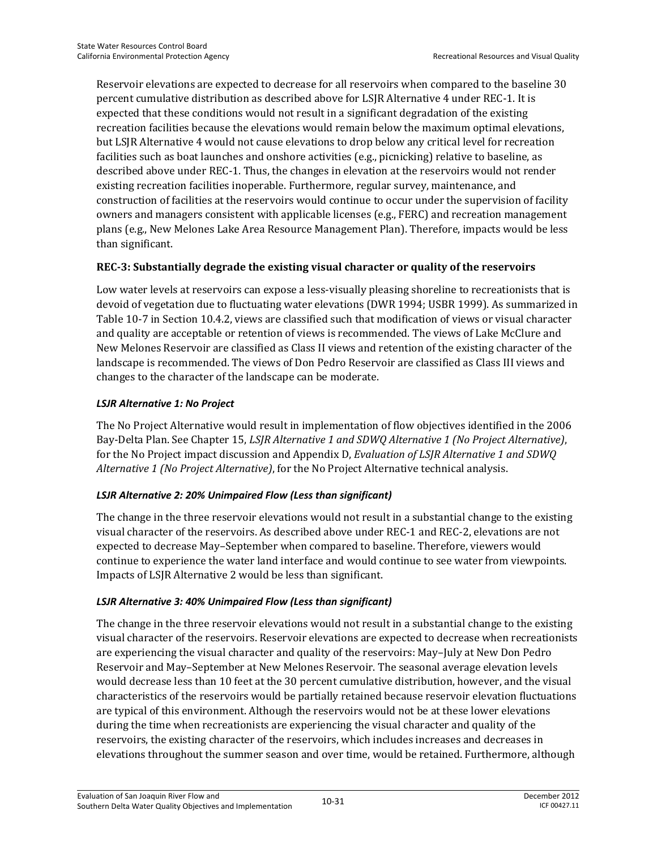Reservoir elevations are expected to decrease for all reservoirs when compared to the baseline 30 percent cumulative distribution as described above for LSJR Alternative 4 under REC-1. It is expected that these conditions would not result in a significant degradation of the existing recreation facilities because the elevations would remain below the maximum optimal elevations, but LSJR Alternative 4 would not cause elevations to drop below any critical level for recreation facilities such as boat launches and onshore activities (e.g., picnicking) relative to baseline, as described above under REC-1. Thus, the changes in elevation at the reservoirs would not render existing recreation facilities inoperable. Furthermore, regular survey, maintenance, and construction of facilities at the reservoirs would continue to occur under the supervision of facility owners and managers consistent with applicable licenses (e.g., FERC) and recreation management plans (e.g., New Melones Lake Area Resource Management Plan). Therefore, impacts would be less than significant.

#### **REC-3: Substantially degrade the existing visual character or quality of the reservoirs**

Low water levels at reservoirs can expose a less-visually pleasing shoreline to recreationists that is devoid of vegetation due to fluctuating water elevations (DWR 1994; USBR 1999). As summarized in Table 10-7 in Section 10.4.2, views are classified such that modification of views or visual character and quality are acceptable or retention of views is recommended. The views of Lake McClure and New Melones Reservoir are classified as Class II views and retention of the existing character of the landscape is recommended. The views of Don Pedro Reservoir are classified as Class III views and changes to the character of the landscape can be moderate.

#### *LSJR Alternative 1: No Project*

The No Project Alternative would result in implementation of flow objectives identified in the 2006 Bay-Delta Plan. See Chapter 15, *LSJR Alternative 1 and SDWQ Alternative 1 (No Project Alternative)*, for the No Project impact discussion and Appendix D, *Evaluation of LSJR Alternative 1 and SDWQ Alternative 1 (No Project Alternative)*, for the No Project Alternative technical analysis.

#### *LSJR Alternative 2: 20% Unimpaired Flow (Less than significant)*

The change in the three reservoir elevations would not result in a substantial change to the existing visual character of the reservoirs. As described above under REC-1 and REC-2, elevations are not expected to decrease May–September when compared to baseline. Therefore, viewers would continue to experience the water land interface and would continue to see water from viewpoints. Impacts of LSJR Alternative 2 would be less than significant.

#### *LSJR Alternative 3: 40% Unimpaired Flow (Less than significant)*

The change in the three reservoir elevations would not result in a substantial change to the existing visual character of the reservoirs. Reservoir elevations are expected to decrease when recreationists are experiencing the visual character and quality of the reservoirs: May–July at New Don Pedro Reservoir and May–September at New Melones Reservoir. The seasonal average elevation levels would decrease less than 10 feet at the 30 percent cumulative distribution, however, and the visual characteristics of the reservoirs would be partially retained because reservoir elevation fluctuations are typical of this environment. Although the reservoirs would not be at these lower elevations during the time when recreationists are experiencing the visual character and quality of the reservoirs, the existing character of the reservoirs, which includes increases and decreases in elevations throughout the summer season and over time, would be retained. Furthermore, although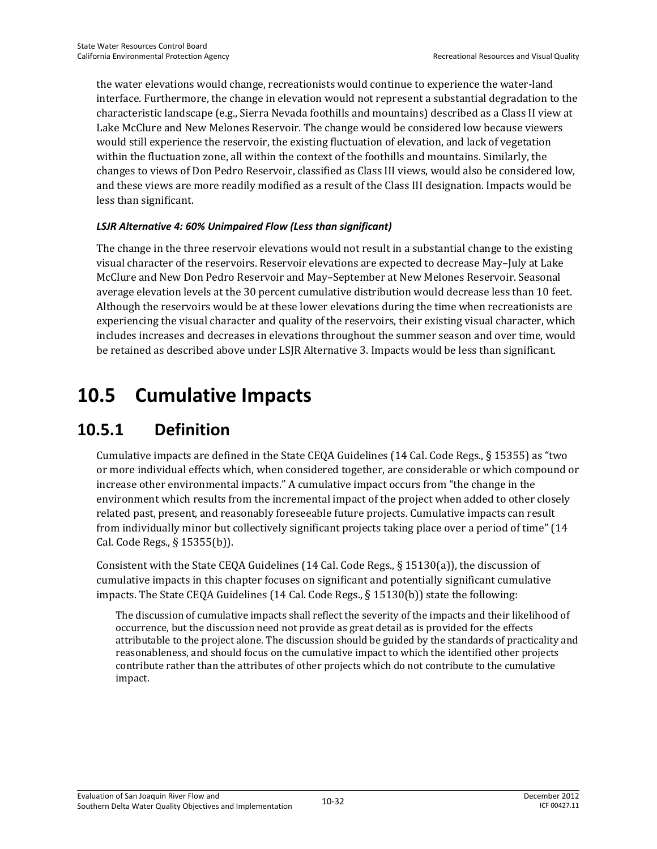the water elevations would change, recreationists would continue to experience the water-land interface. Furthermore, the change in elevation would not represent a substantial degradation to the characteristic landscape (e.g., Sierra Nevada foothills and mountains) described as a Class II view at Lake McClure and New Melones Reservoir. The change would be considered low because viewers would still experience the reservoir, the existing fluctuation of elevation, and lack of vegetation within the fluctuation zone, all within the context of the foothills and mountains. Similarly, the changes to views of Don Pedro Reservoir, classified as Class III views, would also be considered low, and these views are more readily modified as a result of the Class III designation. Impacts would be less than significant.

#### *LSJR Alternative 4: 60% Unimpaired Flow (Less than significant)*

The change in the three reservoir elevations would not result in a substantial change to the existing visual character of the reservoirs. Reservoir elevations are expected to decrease May–July at Lake McClure and New Don Pedro Reservoir and May–September at New Melones Reservoir. Seasonal average elevation levels at the 30 percent cumulative distribution would decrease less than 10 feet. Although the reservoirs would be at these lower elevations during the time when recreationists are experiencing the visual character and quality of the reservoirs, their existing visual character, which includes increases and decreases in elevations throughout the summer season and over time, would be retained as described above under LSJR Alternative 3. Impacts would be less than significant.

# **10.5 Cumulative Impacts**

# **10.5.1 Definition**

Cumulative impacts are defined in the State CEQA Guidelines (14 Cal. Code Regs., § 15355) as "two or more individual effects which, when considered together, are considerable or which compound or increase other environmental impacts." A cumulative impact occurs from "the change in the environment which results from the incremental impact of the project when added to other closely related past, present, and reasonably foreseeable future projects. Cumulative impacts can result from individually minor but collectively significant projects taking place over a period of time" (14 Cal. Code Regs., § 15355(b)).

Consistent with the State CEQA Guidelines (14 Cal. Code Regs., § 15130(a)), the discussion of cumulative impacts in this chapter focuses on significant and potentially significant cumulative impacts. The State CEQA Guidelines (14 Cal. Code Regs., § 15130(b)) state the following:

The discussion of cumulative impacts shall reflect the severity of the impacts and their likelihood of occurrence, but the discussion need not provide as great detail as is provided for the effects attributable to the project alone. The discussion should be guided by the standards of practicality and reasonableness, and should focus on the cumulative impact to which the identified other projects contribute rather than the attributes of other projects which do not contribute to the cumulative impact.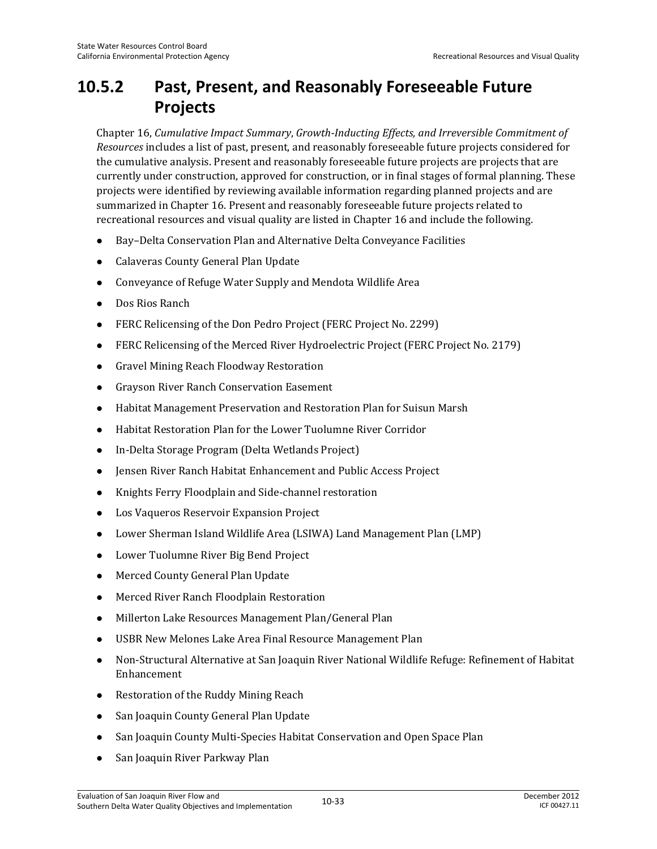# **10.5.2 Past, Present, and Reasonably Foreseeable Future Projects**

Chapter 16, *Cumulative Impact Summary*, *Growth-Inducting Effects, and Irreversible Commitment of Resources* includes a list of past, present, and reasonably foreseeable future projects considered for the cumulative analysis. Present and reasonably foreseeable future projects are projects that are currently under construction, approved for construction, or in final stages of formal planning. These projects were identified by reviewing available information regarding planned projects and are summarized in Chapter 16. Present and reasonably foreseeable future projects related to recreational resources and visual quality are listed in Chapter 16 and include the following.

- Bay–Delta Conservation Plan and Alternative Delta Conveyance Facilities
- Calaveras County General Plan Update
- Conveyance of Refuge Water Supply and Mendota Wildlife Area
- Dos Rios Ranch
- FERC Relicensing of the Don Pedro Project (FERC Project No. 2299)
- FERC Relicensing of the Merced River Hydroelectric Project (FERC Project No. 2179)
- Gravel Mining Reach Floodway Restoration
- Grayson River Ranch Conservation Easement
- Habitat Management Preservation and Restoration Plan for Suisun Marsh
- Habitat Restoration Plan for the Lower Tuolumne River Corridor
- In-Delta Storage Program (Delta Wetlands Project)
- Jensen River Ranch Habitat Enhancement and Public Access Project
- Knights Ferry Floodplain and Side-channel restoration
- Los Vaqueros Reservoir Expansion Project
- Lower Sherman Island Wildlife Area (LSIWA) Land Management Plan (LMP)
- Lower Tuolumne River Big Bend Project
- Merced County General Plan Update
- Merced River Ranch Floodplain Restoration
- Millerton Lake Resources Management Plan/General Plan
- USBR New Melones Lake Area Final Resource Management Plan
- Non-Structural Alternative at San Joaquin River National Wildlife Refuge: Refinement of Habitat Enhancement
- Restoration of the Ruddy Mining Reach
- San Joaquin County General Plan Update
- San Joaquin County Multi-Species Habitat Conservation and Open Space Plan
- San Joaquin River Parkway Plan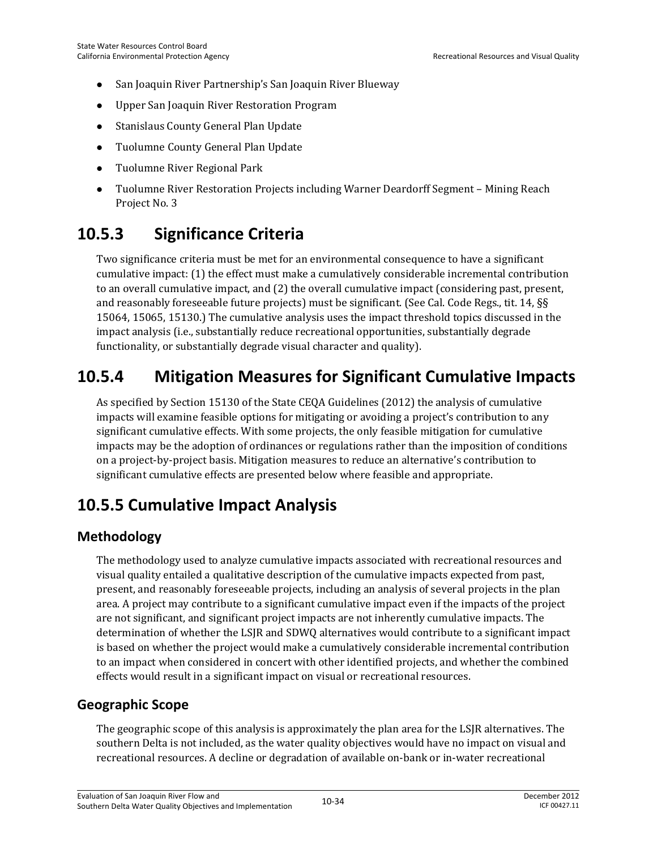- San Joaquin River Partnership's San Joaquin River Blueway
- Upper San Joaquin River Restoration Program
- Stanislaus County General Plan Update
- Tuolumne County General Plan Update
- Tuolumne River Regional Park
- Tuolumne River Restoration Projects including Warner Deardorff Segment Mining Reach Project No. 3

# **10.5.3 Significance Criteria**

Two significance criteria must be met for an environmental consequence to have a significant cumulative impact: (1) the effect must make a cumulatively considerable incremental contribution to an overall cumulative impact, and (2) the overall cumulative impact (considering past, present, and reasonably foreseeable future projects) must be significant. (See Cal. Code Regs., tit. 14, §§ 15064, 15065, 15130.) The cumulative analysis uses the impact threshold topics discussed in the impact analysis (i.e., substantially reduce recreational opportunities, substantially degrade functionality, or substantially degrade visual character and quality).

# **10.5.4 Mitigation Measures for Significant Cumulative Impacts**

As specified by Section 15130 of the State CEQA Guidelines (2012) the analysis of cumulative impacts will examine feasible options for mitigating or avoiding a project's contribution to any significant cumulative effects. With some projects, the only feasible mitigation for cumulative impacts may be the adoption of ordinances or regulations rather than the imposition of conditions on a project-by-project basis. Mitigation measures to reduce an alternative's contribution to significant cumulative effects are presented below where feasible and appropriate.

# **10.5.5 Cumulative Impact Analysis**

#### **Methodology**

The methodology used to analyze cumulative impacts associated with recreational resources and visual quality entailed a qualitative description of the cumulative impacts expected from past, present, and reasonably foreseeable projects, including an analysis of several projects in the plan area. A project may contribute to a significant cumulative impact even if the impacts of the project are not significant, and significant project impacts are not inherently cumulative impacts. The determination of whether the LSJR and SDWQ alternatives would contribute to a significant impact is based on whether the project would make a cumulatively considerable incremental contribution to an impact when considered in concert with other identified projects, and whether the combined effects would result in a significant impact on visual or recreational resources.

#### **Geographic Scope**

The geographic scope of this analysis is approximately the plan area for the LSJR alternatives. The southern Delta is not included, as the water quality objectives would have no impact on visual and recreational resources. A decline or degradation of available on-bank or in-water recreational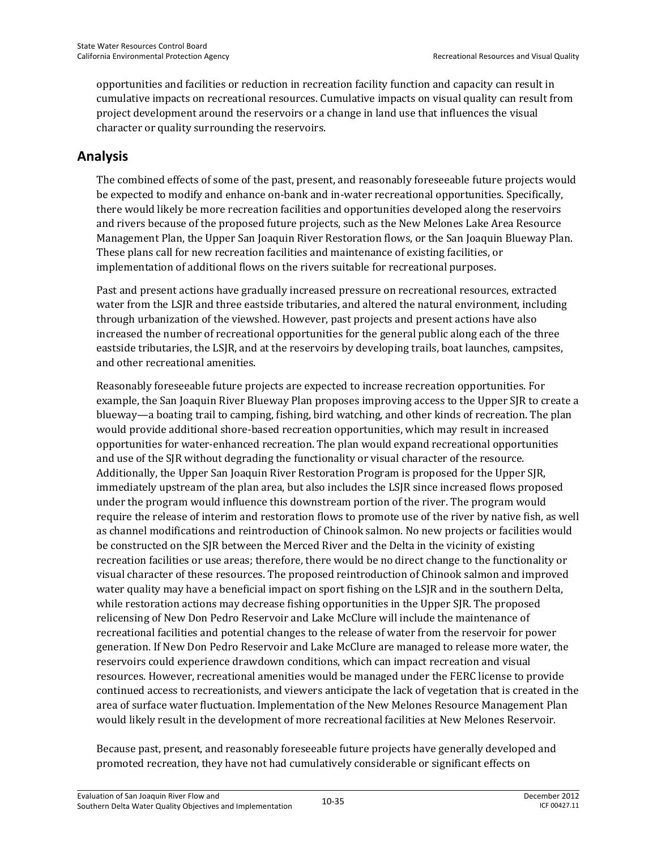opportunities and facilities or reduction in recreation facility function and capacity can result in cumulative impacts on recreational resources. Cumulative impacts on visual quality can result from project development around the reservoirs or a change in land use that influences the visual character or quality surrounding the reservoirs.

#### **Analysis**

The combined effects of some of the past, present, and reasonably foreseeable future projects would be expected to modify and enhance on-bank and in-water recreational opportunities. Specifically, there would likely be more recreation facilities and opportunities developed along the reservoirs and rivers because of the proposed future projects, such as the New Melones Lake Area Resource Management Plan, the Upper San Joaquin River Restoration flows, or the San Joaquin Blueway Plan. These plans call for new recreation facilities and maintenance of existing facilities, or implementation of additional flows on the rivers suitable for recreational purposes.

Past and present actions have gradually increased pressure on recreational resources, extracted water from the LSJR and three eastside tributaries, and altered the natural environment, including through urbanization of the viewshed. However, past projects and present actions have also increased the number of recreational opportunities for the general public along each of the three eastside tributaries, the LSJR, and at the reservoirs by developing trails, boat launches, campsites, and other recreational amenities.

Reasonably foreseeable future projects are expected to increase recreation opportunities. For example, the San Joaquin River Blueway Plan proposes improving access to the Upper SJR to create a blueway—a boating trail to camping, fishing, bird watching, and other kinds of recreation. The plan would provide additional shore-based recreation opportunities, which may result in increased opportunities for water-enhanced recreation. The plan would expand recreational opportunities and use of the SJR without degrading the functionality or visual character of the resource. Additionally, the Upper San Joaquin River Restoration Program is proposed for the Upper SJR, immediately upstream of the plan area, but also includes the LSJR since increased flows proposed under the program would influence this downstream portion of the river. The program would require the release of interim and restoration flows to promote use of the river by native fish, as well as channel modifications and reintroduction of Chinook salmon. No new projects or facilities would be constructed on the SJR between the Merced River and the Delta in the vicinity of existing recreation facilities or use areas; therefore, there would be no direct change to the functionality or visual character of these resources. The proposed reintroduction of Chinook salmon and improved water quality may have a beneficial impact on sport fishing on the LSJR and in the southern Delta, while restoration actions may decrease fishing opportunities in the Upper SJR. The proposed relicensing of New Don Pedro Reservoir and Lake McClure will include the maintenance of recreational facilities and potential changes to the release of water from the reservoir for power generation. If New Don Pedro Reservoir and Lake McClure are managed to release more water, the reservoirs could experience drawdown conditions, which can impact recreation and visual resources. However, recreational amenities would be managed under the FERC license to provide continued access to recreationists, and viewers anticipate the lack of vegetation that is created in the area of surface water fluctuation. Implementation of the New Melones Resource Management Plan would likely result in the development of more recreational facilities at New Melones Reservoir.

Because past, present, and reasonably foreseeable future projects have generally developed and promoted recreation, they have not had cumulatively considerable or significant effects on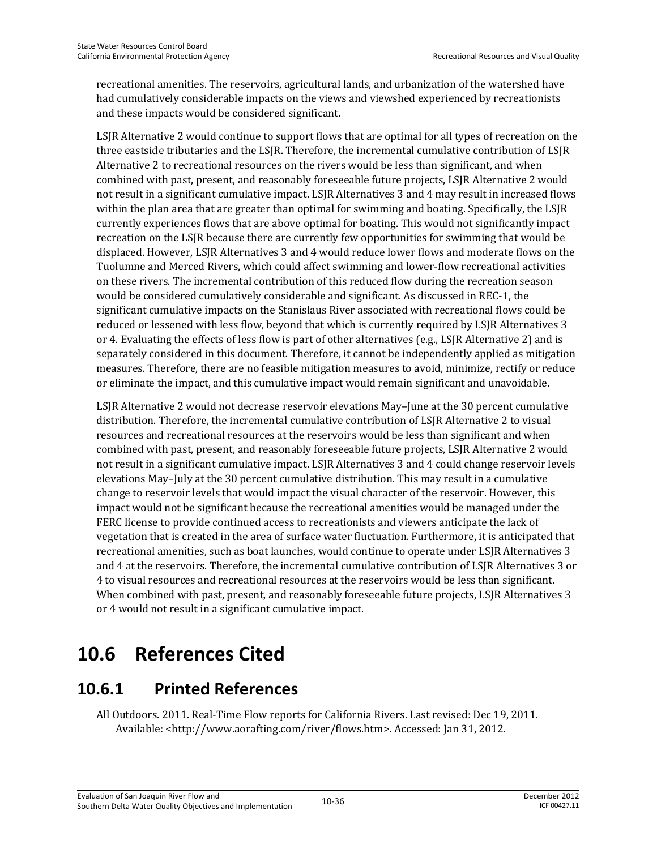recreational amenities. The reservoirs, agricultural lands, and urbanization of the watershed have had cumulatively considerable impacts on the views and viewshed experienced by recreationists and these impacts would be considered significant.

LSJR Alternative 2 would continue to support flows that are optimal for all types of recreation on the three eastside tributaries and the LSJR. Therefore, the incremental cumulative contribution of LSJR Alternative 2 to recreational resources on the rivers would be less than significant, and when combined with past, present, and reasonably foreseeable future projects, LSJR Alternative 2 would not result in a significant cumulative impact. LSJR Alternatives 3 and 4 may result in increased flows within the plan area that are greater than optimal for swimming and boating. Specifically, the LSJR currently experiences flows that are above optimal for boating. This would not significantly impact recreation on the LSJR because there are currently few opportunities for swimming that would be displaced. However, LSJR Alternatives 3 and 4 would reduce lower flows and moderate flows on the Tuolumne and Merced Rivers, which could affect swimming and lower-flow recreational activities on these rivers. The incremental contribution of this reduced flow during the recreation season would be considered cumulatively considerable and significant. As discussed in REC-1, the significant cumulative impacts on the Stanislaus River associated with recreational flows could be reduced or lessened with less flow, beyond that which is currently required by LSJR Alternatives 3 or 4. Evaluating the effects of less flow is part of other alternatives (e.g., LSJR Alternative 2) and is separately considered in this document. Therefore, it cannot be independently applied as mitigation measures. Therefore, there are no feasible mitigation measures to avoid, minimize, rectify or reduce or eliminate the impact, and this cumulative impact would remain significant and unavoidable.

LSJR Alternative 2 would not decrease reservoir elevations May–June at the 30 percent cumulative distribution. Therefore, the incremental cumulative contribution of LSJR Alternative 2 to visual resources and recreational resources at the reservoirs would be less than significant and when combined with past, present, and reasonably foreseeable future projects, LSJR Alternative 2 would not result in a significant cumulative impact. LSJR Alternatives 3 and 4 could change reservoir levels elevations May–July at the 30 percent cumulative distribution. This may result in a cumulative change to reservoir levels that would impact the visual character of the reservoir. However, this impact would not be significant because the recreational amenities would be managed under the FERC license to provide continued access to recreationists and viewers anticipate the lack of vegetation that is created in the area of surface water fluctuation. Furthermore, it is anticipated that recreational amenities, such as boat launches, would continue to operate under LSJR Alternatives 3 and 4 at the reservoirs. Therefore, the incremental cumulative contribution of LSJR Alternatives 3 or 4 to visual resources and recreational resources at the reservoirs would be less than significant. When combined with past, present, and reasonably foreseeable future projects, LSJR Alternatives 3 or 4 would not result in a significant cumulative impact.

# **10.6 References Cited**

# **10.6.1 Printed References**

All Outdoors. 2011. Real-Time Flow reports for California Rivers. Last revised: Dec 19, 2011. Available: <http://www.aorafting.com/river/flows.htm>. Accessed: Jan 31, 2012.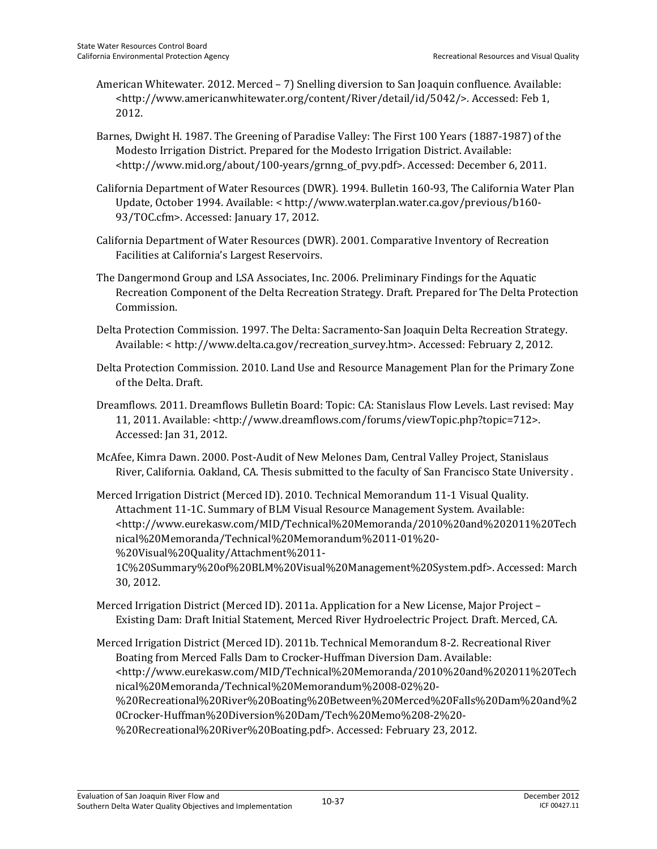- American Whitewater. 2012. Merced 7) Snelling diversion to San Joaquin confluence. Available: <http://www.americanwhitewater.org/content/River/detail/id/5042/>. Accessed: Feb 1, 2012.
- Barnes, Dwight H. 1987. The Greening of Paradise Valley: The First 100 Years (1887-1987) of the Modesto Irrigation District. Prepared for the Modesto Irrigation District. Available: <http://www.mid.org/about/100-years/grnng\_of\_pvy.pdf>. Accessed: December 6, 2011.
- California Department of Water Resources (DWR). 1994. Bulletin 160-93, The California Water Plan Update, October 1994. Available: < http://www.waterplan.water.ca.gov/previous/b160- 93/TOC.cfm>. Accessed: January 17, 2012.
- California Department of Water Resources (DWR). 2001. Comparative Inventory of Recreation Facilities at California's Largest Reservoirs.
- The Dangermond Group and LSA Associates, Inc. 2006. Preliminary Findings for the Aquatic Recreation Component of the Delta Recreation Strategy. Draft. Prepared for The Delta Protection Commission.
- Delta Protection Commission. 1997. The Delta: Sacramento-San Joaquin Delta Recreation Strategy. Available: < http://www.delta.ca.gov/recreation\_survey.htm>. Accessed: February 2, 2012.
- Delta Protection Commission. 2010. Land Use and Resource Management Plan for the Primary Zone of the Delta. Draft.
- Dreamflows. 2011. Dreamflows Bulletin Board: Topic: CA: Stanislaus Flow Levels. Last revised: May 11, 2011. Available: <http://www.dreamflows.com/forums/viewTopic.php?topic=712>. Accessed: Jan 31, 2012.
- McAfee, Kimra Dawn. 2000. Post-Audit of New Melones Dam, Central Valley Project, Stanislaus River, California. Oakland, CA. Thesis submitted to the faculty of San Francisco State University .
- Merced Irrigation District (Merced ID). 2010. Technical Memorandum 11-1 Visual Quality. Attachment 11-1C. Summary of BLM Visual Resource Management System. Available: <http://www.eurekasw.com/MID/Technical%20Memoranda/2010%20and%202011%20Tech nical%20Memoranda/Technical%20Memorandum%2011-01%20- %20Visual%20Quality/Attachment%2011- 1C%20Summary%20of%20BLM%20Visual%20Management%20System.pdf>. Accessed: March 30, 2012.
- Merced Irrigation District (Merced ID). 2011a. Application for a New License, Major Project Existing Dam: Draft Initial Statement, Merced River Hydroelectric Project. Draft. Merced, CA.
- Merced Irrigation District (Merced ID). 2011b. Technical Memorandum 8-2. Recreational River Boating from Merced Falls Dam to Crocker-Huffman Diversion Dam. Available: <http://www.eurekasw.com/MID/Technical%20Memoranda/2010%20and%202011%20Tech nical%20Memoranda/Technical%20Memorandum%2008-02%20- %20Recreational%20River%20Boating%20Between%20Merced%20Falls%20Dam%20and%2 0Crocker-Huffman%20Diversion%20Dam/Tech%20Memo%208-2%20- %20Recreational%20River%20Boating.pdf>. Accessed: February 23, 2012.